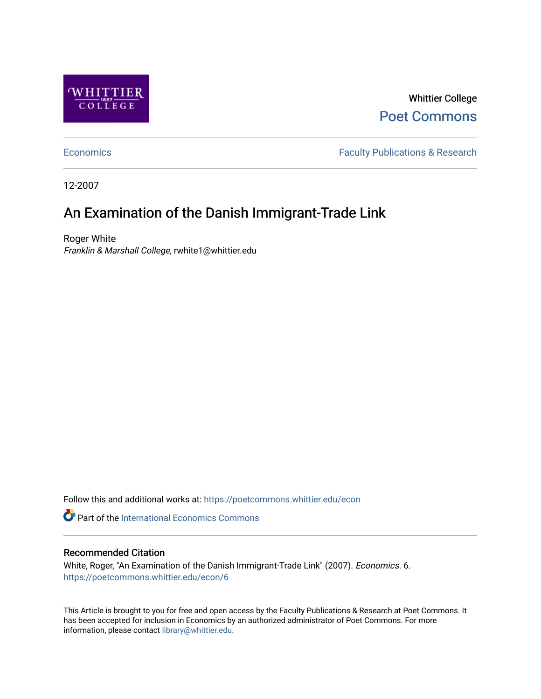

Whittier College [Poet Commons](https://poetcommons.whittier.edu/) 

[Economics](https://poetcommons.whittier.edu/econ) **Faculty Publications & Research** 

12-2007

## An Examination of the Danish Immigrant-Trade Link

Roger White Franklin & Marshall College, rwhite1@whittier.edu

Follow this and additional works at: [https://poetcommons.whittier.edu/econ](https://poetcommons.whittier.edu/econ?utm_source=poetcommons.whittier.edu%2Fecon%2F6&utm_medium=PDF&utm_campaign=PDFCoverPages)

**Part of the International Economics Commons** 

#### Recommended Citation

White, Roger, "An Examination of the Danish Immigrant-Trade Link" (2007). Economics. 6. [https://poetcommons.whittier.edu/econ/6](https://poetcommons.whittier.edu/econ/6?utm_source=poetcommons.whittier.edu%2Fecon%2F6&utm_medium=PDF&utm_campaign=PDFCoverPages) 

This Article is brought to you for free and open access by the Faculty Publications & Research at Poet Commons. It has been accepted for inclusion in Economics by an authorized administrator of Poet Commons. For more information, please contact [library@whittier.edu.](mailto:library@whittier.edu)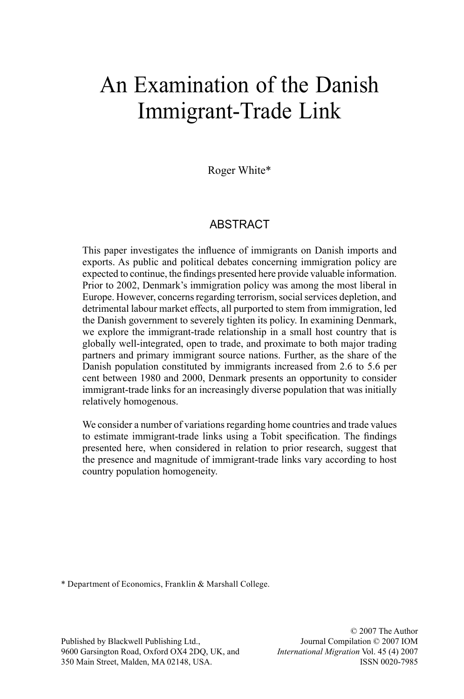# An Examination of the Danish Immigrant-Trade Link

Roger White\*

#### **ABSTRACT**

This paper investigates the influence of immigrants on Danish imports and exports. As public and political debates concerning immigration policy are expected to continue, the findings presented here provide valuable information. Prior to 2002, Denmark's immigration policy was among the most liberal in Europe. However, concerns regarding terrorism, social services depletion, and detrimental labour market effects, all purported to stem from immigration, led the Danish government to severely tighten its policy. In examining Denmark, we explore the immigrant-trade relationship in a small host country that is globally well-integrated, open to trade, and proximate to both major trading partners and primary immigrant source nations. Further, as the share of the Danish population constituted by immigrants increased from 2.6 to 5.6 per cent between 1980 and 2000, Denmark presents an opportunity to consider immigrant-trade links for an increasingly diverse population that was initially relatively homogenous.

We consider a number of variations regarding home countries and trade values to estimate immigrant-trade links using a Tobit specification. The findings presented here, when considered in relation to prior research, suggest that the presence and magnitude of immigrant-trade links vary according to host country population homogeneity.

\* Department of Economics, Franklin & Marshall College.

Published by Blackwell Publishing Ltd., 9600 Garsington Road, Oxford OX4 2DQ, UK, and 350 Main Street, Malden, MA 02148, USA.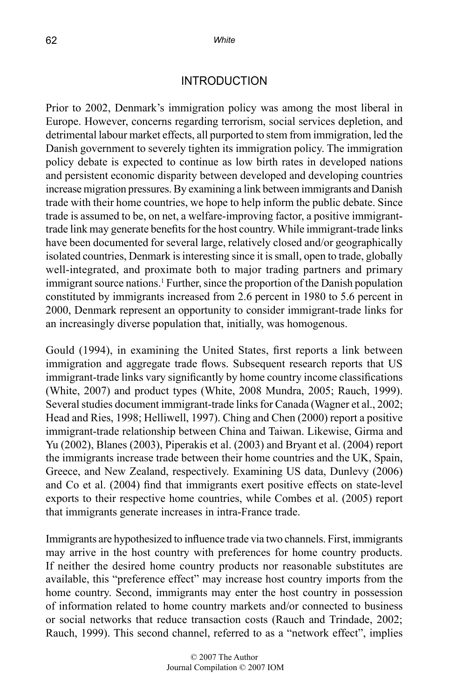#### INTRODUCTION

Prior to 2002, Denmark's immigration policy was among the most liberal in Europe. However, concerns regarding terrorism, social services depletion, and detrimental labour market effects, all purported to stem from immigration, led the Danish government to severely tighten its immigration policy. The immigration policy debate is expected to continue as low birth rates in developed nations and persistent economic disparity between developed and developing countries increase migration pressures. By examining a link between immigrants and Danish trade with their home countries, we hope to help inform the public debate. Since trade is assumed to be, on net, a welfare-improving factor, a positive immigranttrade link may generate benefits for the host country. While immigrant-trade links have been documented for several large, relatively closed and/or geographically isolated countries, Denmark is interesting since it is small, open to trade, globally well-integrated, and proximate both to major trading partners and primary immigrant source nations.<sup>1</sup> Further, since the proportion of the Danish population constituted by immigrants increased from 2.6 percent in 1980 to 5.6 percent in 2000, Denmark represent an opportunity to consider immigrant-trade links for an increasingly diverse population that, initially, was homogenous.

Gould (1994), in examining the United States, first reports a link between immigration and aggregate trade flows. Subsequent research reports that US immigrant-trade links vary significantly by home country income classifications (White, 2007) and product types (White, 2008 Mundra, 2005; Rauch, 1999). Several studies document immigrant-trade links for Canada (Wagner et al., 2002; Head and Ries, 1998; Helliwell, 1997). Ching and Chen (2000) report a positive immigrant-trade relationship between China and Taiwan. Likewise, Girma and Yu (2002), Blanes (2003), Piperakis et al. (2003) and Bryant et al. (2004) report the immigrants increase trade between their home countries and the UK, Spain, Greece, and New Zealand, respectively. Examining US data, Dunlevy (2006) and Co et al. (2004) find that immigrants exert positive effects on state-level exports to their respective home countries, while Combes et al. (2005) report that immigrants generate increases in intra-France trade.

Immigrants are hypothesized to influence trade via two channels. First, immigrants may arrive in the host country with preferences for home country products. If neither the desired home country products nor reasonable substitutes are available, this "preference effect" may increase host country imports from the home country. Second, immigrants may enter the host country in possession of information related to home country markets and/or connected to business or social networks that reduce transaction costs (Rauch and Trindade, 2002; Rauch, 1999). This second channel, referred to as a "network effect", implies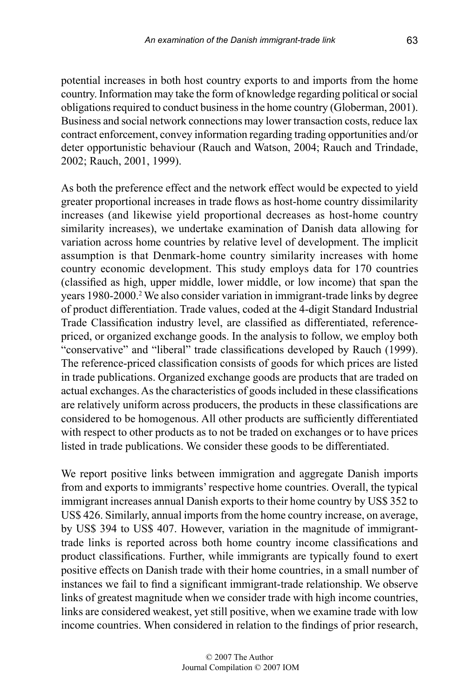potential increases in both host country exports to and imports from the home country. Information may take the form of knowledge regarding political or social obligations required to conduct business in the home country (Globerman, 2001). Business and social network connections may lower transaction costs, reduce lax contract enforcement, convey information regarding trading opportunities and/or deter opportunistic behaviour (Rauch and Watson, 2004; Rauch and Trindade, 2002; Rauch, 2001, 1999).

As both the preference effect and the network effect would be expected to yield greater proportional increases in trade flows as host-home country dissimilarity increases (and likewise yield proportional decreases as host-home country similarity increases), we undertake examination of Danish data allowing for variation across home countries by relative level of development. The implicit assumption is that Denmark-home country similarity increases with home country economic development. This study employs data for 170 countries (classified as high, upper middle, lower middle, or low income) that span the years 1980-2000.2 We also consider variation in immigrant-trade links by degree of product differentiation. Trade values, coded at the 4-digit Standard Industrial Trade Classification industry level, are classified as differentiated, referencepriced, or organized exchange goods. In the analysis to follow, we employ both "conservative" and "liberal" trade classifications developed by Rauch (1999). The reference-priced classification consists of goods for which prices are listed in trade publications. Organized exchange goods are products that are traded on actual exchanges. As the characteristics of goods included in these classifications are relatively uniform across producers, the products in these classifications are considered to be homogenous. All other products are sufficiently differentiated with respect to other products as to not be traded on exchanges or to have prices listed in trade publications. We consider these goods to be differentiated.

We report positive links between immigration and aggregate Danish imports from and exports to immigrants' respective home countries. Overall, the typical immigrant increases annual Danish exports to their home country by US\$ 352 to US\$ 426. Similarly, annual imports from the home country increase, on average, by US\$ 394 to US\$ 407. However, variation in the magnitude of immigranttrade links is reported across both home country income classifications and product classifications. Further, while immigrants are typically found to exert positive effects on Danish trade with their home countries, in a small number of instances we fail to find a significant immigrant-trade relationship. We observe links of greatest magnitude when we consider trade with high income countries, links are considered weakest, yet still positive, when we examine trade with low income countries. When considered in relation to the findings of prior research,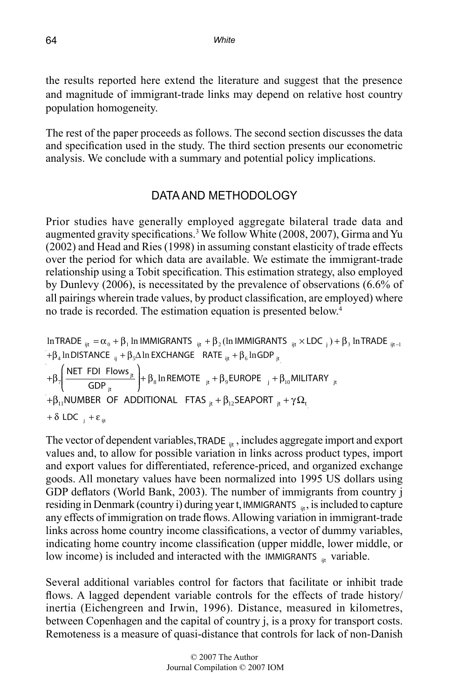the results reported here extend the literature and suggest that the presence and magnitude of immigrant-trade links may depend on relative host country population homogeneity.

The rest of the paper proceeds as follows. The second section discusses the data and specification used in the study. The third section presents our econometric analysis. We conclude with a summary and potential policy implications.

### DATA AND METHODOLOGY

Prior studies have generally employed aggregate bilateral trade data and augmented gravity specifications.<sup>3</sup> We follow White (2008, 2007), Girma and Yu (2002) and Head and Ries (1998) in assuming constant elasticity of trade effects over the period for which data are available. We estimate the immigrant-trade relationship using a Tobit specification. This estimation strategy, also employed by Dunlevy (2006), is necessitated by the prevalence of observations (6.6% of all pairings wherein trade values, by product classification, are employed) where no trade is recorded. The estimation equation is presented below.<sup>4</sup>

InTRADE 
$$
_{ijt} = \alpha_0 + \beta_1
$$
 In IMMIGRANTS  $_{ijt} + \beta_2$  (In IMMIGRANTS  $_{ijt} \times$  LDC  $_j$ ) +  $\beta_3$  In TRADE  $_{ijt-1} + \beta_4$  In DISTANCE  $_{ij} + \beta_5 \Delta$  In EXCHANGE RATE  $_{ijt} + \beta_6$  InGDP  $_{jt}$ \n $+ \beta_7 \left( \frac{NET \text{ FDI} \text{ Flows }_{jt}}{\text{GDP }_{it}} \right) + \beta_8$  In REMOTE  $_{jt} + \beta_9$  EUROPE  $_j + \beta_{10}$  MILITARY  $_{jt}$ \n $+ \beta_{11}$  NUMBER OF ADDITIONAL FIAS  $_{jt} + \beta_{12}$  SEAPORT  $_{jt} + \gamma \Omega_t$ \n $+ \delta$  LOC  $_j + \epsilon_{ijt}$ 

The vector of dependent variables,  $TRADE_{\text{int}}$ , includes aggregate import and export values and, to allow for possible variation in links across product types, import and export values for differentiated, reference-priced, and organized exchange goods. All monetary values have been normalized into 1995 US dollars using GDP deflators (World Bank, 2003). The number of immigrants from country j residing in Denmark (country i) during year t, IMMIGRANTS <sub>ijt</sub>, is included to capture indicating home country income classification (upper middle, lower middle, or any effects of immigration on trade flows. Allowing variation in immigrant-trade links across home country income classifications, a vector of dummy variables, low income) is included and interacted with the IMMIGRANTS <sub>it</sub> variable.

Several additional variables control for factors that facilitate or inhibit trade flows. A lagged dependent variable controls for the effects of trade history/ inertia (Eichengreen and Irwin, 1996). Distance, measured in kilometres, between Copenhagen and the capital of country j, is a proxy for transport costs. Remoteness is a measure of quasi-distance that controls for lack of non-Danish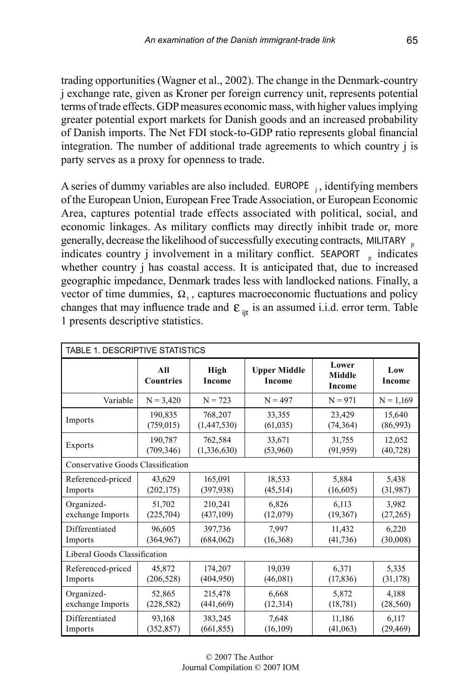trading opportunities (Wagner et al., 2002). The change in the Denmark-country j exchange rate, given as Kroner per foreign currency unit, represents potential terms of trade effects. GDP measures economic mass, with higher values implying greater potential export markets for Danish goods and an increased probability of Danish imports. The Net FDI stock-to-GDP ratio represents global financial integration. The number of additional trade agreements to which country j is party serves as a proxy for openness to trade.

A series of dummy variables are also included.  $EUROPE$ , identifying members of the European Union, European Free Trade Association, or European Economic Area, captures potential trade effects associated with political, social, and economic linkages. As military conflicts may directly inhibit trade or, more generally, decrease the likelihood of successfully executing contracts, MILITARY  $_{\text{it}}$ indicates country  $\mathbf{j}$  involvement in a military conflict. SEAPORT  $\mathbf{j}$  indicates whether country j has coastal access. It is anticipated that, due to increased geographic impedance, Denmark trades less with landlocked nations. Finally, a vector of time dummies,  $\Omega$ , captures macroeconomic fluctuations and policy changes that may influence trade and  $\epsilon_{\text{in}}$  is an assumed i.i.d. error term. Table 1 presents descriptive statistics.

| TABLE 1. DESCRIPTIVE STATISTICS |                                   |                |                               |                                  |               |  |  |  |  |  |
|---------------------------------|-----------------------------------|----------------|-------------------------------|----------------------------------|---------------|--|--|--|--|--|
|                                 | All<br><b>Countries</b>           | High<br>Income | <b>Upper Middle</b><br>Income | Lower<br><b>Middle</b><br>Income | Low<br>Income |  |  |  |  |  |
| Variable                        | $N = 3,420$                       | $N = 723$      | $N = 497$                     | $N = 971$                        | $N = 1,169$   |  |  |  |  |  |
| Imports                         | 190,835                           | 768,207        | 33,355                        | 23,429                           | 15,640        |  |  |  |  |  |
|                                 | (759, 015)                        | (1,447,530)    | (61, 035)                     | (74, 364)                        | (86,993)      |  |  |  |  |  |
| Exports                         | 190.787                           | 762,584        | 33,671                        | 31,755                           | 12,052        |  |  |  |  |  |
|                                 | (709, 346)                        | (1,336,630)    | (53,960)                      | (91, 959)                        | (40, 728)     |  |  |  |  |  |
|                                 | Conservative Goods Classification |                |                               |                                  |               |  |  |  |  |  |
| Referenced-priced               | 43,629                            | 165,091        | 18,533                        | 5.884                            | 5,438         |  |  |  |  |  |
| Imports                         | (202, 175)                        | (397, 938)     | (45, 514)                     | (16,605)                         | (31,987)      |  |  |  |  |  |
| Organized-                      | 51.702                            | 210,241        | 6,826                         | 6,113                            | 3,982         |  |  |  |  |  |
| exchange Imports                | (225,704)                         | (437, 109)     | (12,079)                      | (19, 367)                        | (27, 265)     |  |  |  |  |  |
| Differentiated                  | 96,605                            | 397,736        | 7,997                         | 11,432                           | 6,220         |  |  |  |  |  |
| Imports                         | (364, 967)                        | (684, 062)     | (16, 368)                     | (41, 736)                        | (30,008)      |  |  |  |  |  |
| Liberal Goods Classification    |                                   |                |                               |                                  |               |  |  |  |  |  |
| Referenced-priced               | 45,872                            | 174,207        | 19,039                        | 6,371                            | 5,335         |  |  |  |  |  |
| Imports                         | (206, 528)                        | (404,950)      | (46,081)                      | (17, 836)                        | (31, 178)     |  |  |  |  |  |
| Organized-                      | 52,865                            | 215,478        | 6,668                         | 5,872                            | 4.188         |  |  |  |  |  |
| exchange Imports                | (228, 582)                        | (441, 669)     | (12, 314)                     | (18, 781)                        | (28, 560)     |  |  |  |  |  |
| Differentiated                  | 93,168                            | 383,245        | 7,648                         | 11,186                           | 6,117         |  |  |  |  |  |
| Imports                         | (352, 857)                        | (661, 855)     | (16, 109)                     | (41,063)                         | (29, 469)     |  |  |  |  |  |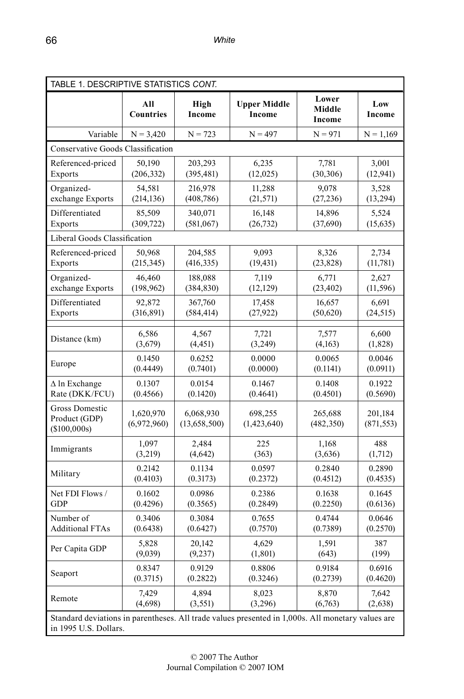| TABLE 1. DESCRIPTIVE STATISTICS CONT.                                                                                      |                          |                             |                               |                           |                       |  |  |  |  |
|----------------------------------------------------------------------------------------------------------------------------|--------------------------|-----------------------------|-------------------------------|---------------------------|-----------------------|--|--|--|--|
|                                                                                                                            | All<br><b>Countries</b>  | High<br>Income              | <b>Upper Middle</b><br>Income | Lower<br>Middle<br>Income | Low<br>Income         |  |  |  |  |
| Variable                                                                                                                   | $N = 3,420$              | $N = 723$                   | $N = 497$                     | $N = 971$                 | $N = 1,169$           |  |  |  |  |
| Conservative Goods Classification                                                                                          |                          |                             |                               |                           |                       |  |  |  |  |
| Referenced-priced                                                                                                          | 50.190                   | 203,293                     | 6,235                         | 7,781                     | 3,001                 |  |  |  |  |
| Exports                                                                                                                    | (206, 332)               | (395, 481)                  | (12, 025)                     | (30, 306)                 | (12, 941)             |  |  |  |  |
| Organized-                                                                                                                 | 54,581                   | 216,978                     | 11,288                        | 9,078                     | 3,528                 |  |  |  |  |
| exchange Exports                                                                                                           | (214, 136)               | (408, 786)                  | (21, 571)                     | (27, 236)                 | (13, 294)             |  |  |  |  |
| Differentiated                                                                                                             | 85,509                   | 340,071                     | 16,148                        | 14,896                    | 5,524                 |  |  |  |  |
| Exports                                                                                                                    | (309, 722)               | (581,067)                   | (26, 732)                     | (37,690)                  | (15, 635)             |  |  |  |  |
| Liberal Goods Classification                                                                                               |                          |                             |                               |                           |                       |  |  |  |  |
| Referenced-priced                                                                                                          | 50,968                   | 204,585                     | 9.093                         | 8,326                     | 2,734                 |  |  |  |  |
| Exports                                                                                                                    | (215, 345)               | (416, 335)                  | (19, 431)                     | (23, 828)                 | (11,781)              |  |  |  |  |
| Organized-                                                                                                                 | 46,460                   | 188,088                     | 7,119                         | 6,771                     | 2,627                 |  |  |  |  |
| exchange Exports                                                                                                           | (198, 962)               | (384, 830)                  | (12, 129)                     | (23, 402)                 | (11, 596)             |  |  |  |  |
| Differentiated                                                                                                             | 92,872                   | 367,760                     | 17,458                        | 16,657                    | 6,691                 |  |  |  |  |
| Exports                                                                                                                    | (316, 891)               | (584, 414)                  | (27, 922)                     | (50, 620)                 | (24, 515)             |  |  |  |  |
| Distance (km)                                                                                                              | 6,586                    | 4,567                       | 7,721                         | 7,577                     | 6,600                 |  |  |  |  |
|                                                                                                                            | (3,679)                  | (4, 451)                    | (3, 249)                      | (4,163)                   | (1, 828)              |  |  |  |  |
| Europe                                                                                                                     | 0.1450                   | 0.6252                      | 0.0000                        | 0.0065                    | 0.0046                |  |  |  |  |
|                                                                                                                            | (0.4449)                 | (0.7401)                    | (0.0000)                      | (0.1141)                  | (0.0911)              |  |  |  |  |
| $\Delta$ ln Exchange                                                                                                       | 0.1307                   | 0.0154                      | 0.1467                        | 0.1408                    | 0.1922                |  |  |  |  |
| Rate (DKK/FCU)                                                                                                             | (0.4566)                 | (0.1420)                    | (0.4641)                      | (0.4501)                  | (0.5690)              |  |  |  |  |
| <b>Gross Domestic</b><br>Product (GDP)<br>(\$100,000s)                                                                     | 1,620,970<br>(6,972,960) | 6,068,930<br>(13, 658, 500) | 698,255<br>(1,423,640)        | 265,688<br>(482, 350)     | 201,184<br>(871, 553) |  |  |  |  |
| Immigrants                                                                                                                 | 1,097                    | 2,484                       | 225                           | 1,168                     | 488                   |  |  |  |  |
|                                                                                                                            | (3,219)                  | (4,642)                     | (363)                         | (3,636)                   | (1,712)               |  |  |  |  |
| Military                                                                                                                   | 0.2142                   | 0.1134                      | 0.0597                        | 0.2840                    | 0.2890                |  |  |  |  |
|                                                                                                                            | (0.4103)                 | (0.3173)                    | (0.2372)                      | (0.4512)                  | (0.4535)              |  |  |  |  |
| Net FDI Flows /                                                                                                            | 0.1602                   | 0.0986                      | 0.2386                        | 0.1638                    | 0.1645                |  |  |  |  |
| <b>GDP</b>                                                                                                                 | (0.4296)                 | (0.3565)                    | (0.2849)                      | (0.2250)                  | (0.6136)              |  |  |  |  |
| Number of                                                                                                                  | 0.3406                   | 0.3084                      | 0.7655                        | 0.4744                    | 0.0646                |  |  |  |  |
| <b>Additional FTAs</b>                                                                                                     | (0.6438)                 | (0.6427)                    | (0.7570)                      | (0.7389)                  | (0.2570)              |  |  |  |  |
| Per Capita GDP                                                                                                             | 5,828                    | 20,142                      | 4.629                         | 1,591                     | 387                   |  |  |  |  |
|                                                                                                                            | (9,039)                  | (9, 237)                    | (1, 801)                      | (643)                     | (199)                 |  |  |  |  |
| Seaport                                                                                                                    | 0.8347                   | 0.9129                      | 0.8806                        | 0.9184                    | 0.6916                |  |  |  |  |
|                                                                                                                            | (0.3715)                 | (0.2822)                    | (0.3246)                      | (0.2739)                  | (0.4620)              |  |  |  |  |
| Remote                                                                                                                     | 7,429                    | 4,894                       | 8,023                         | 8,870                     | 7,642                 |  |  |  |  |
|                                                                                                                            | (4,698)                  | (3, 551)                    | (3,296)                       | (6,763)                   | (2,638)               |  |  |  |  |
| Standard deviations in parentheses. All trade values presented in 1,000s. All monetary values are<br>in 1995 U.S. Dollars. |                          |                             |                               |                           |                       |  |  |  |  |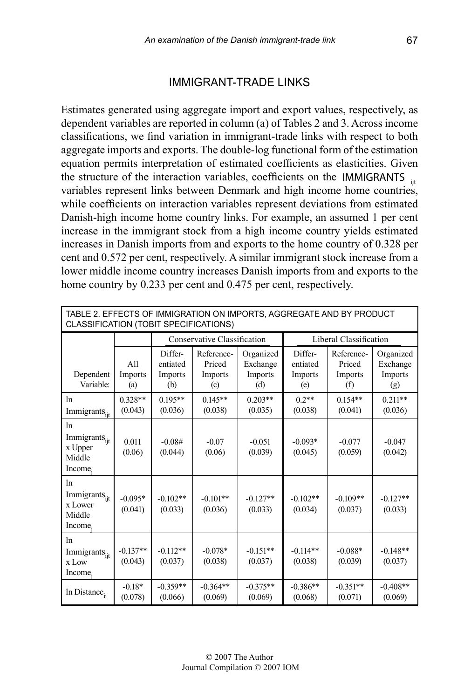#### IMMIGRANT-TRADE LINKS

Estimates generated using aggregate import and export values, respectively, as dependent variables are reported in column (a) of Tables 2 and 3. Across income classifications, we find variation in immigrant-trade links with respect to both aggregate imports and exports. The double-log functional form of the estimation equation permits interpretation of estimated coefficients as elasticities. Given the structure of the interaction variables, coefficients on the IMMIGRANTS  $_{\text{int}}$ variables represent links between Denmark and high income home countries, while coefficients on interaction variables represent deviations from estimated Danish-high income home country links. For example, an assumed 1 per cent increase in the immigrant stock from a high income country yields estimated increases in Danish imports from and exports to the home country of 0.328 per cent and 0.572 per cent, respectively. A similar immigrant stock increase from a lower middle income country increases Danish imports from and exports to the home country by 0.233 per cent and 0.475 per cent, respectively.

| TABLE 2. EFFECTS OF IMMIGRATION ON IMPORTS, AGGREGATE AND BY PRODUCT<br>CLASSIFICATION (TOBIT SPECIFICATIONS) |                       |                                       |                                        |                                         |                                       |                                        |                                         |  |  |
|---------------------------------------------------------------------------------------------------------------|-----------------------|---------------------------------------|----------------------------------------|-----------------------------------------|---------------------------------------|----------------------------------------|-----------------------------------------|--|--|
|                                                                                                               |                       |                                       | Conservative Classification            |                                         |                                       | Liberal Classification                 |                                         |  |  |
| Dependent<br>Variable:                                                                                        | A11<br>Imports<br>(a) | Differ-<br>entiated<br>Imports<br>(b) | Reference-<br>Priced<br>Imports<br>(c) | Organized<br>Exchange<br>Imports<br>(d) | Differ-<br>entiated<br>Imports<br>(e) | Reference-<br>Priced<br>Imports<br>(f) | Organized<br>Exchange<br>Imports<br>(g) |  |  |
| ln<br>Immigrants <sub>ijt</sub>                                                                               | $0.328**$<br>(0.043)  | $0.195**$<br>(0.036)                  | $0.145**$<br>(0.038)                   | $0.203**$<br>(0.035)                    | $0.2**$<br>(0.038)                    | $0.154**$<br>(0.041)                   | $0.211**$<br>(0.036)                    |  |  |
| 1n<br>Immigrants $s_{ijt}$<br>x Upper<br>Middle<br>Income.                                                    | 0.011<br>(0.06)       | $-0.08#$<br>(0.044)                   | $-0.07$<br>(0.06)                      | $-0.051$<br>(0.039)                     | $-0.093*$<br>(0.045)                  | $-0.077$<br>(0.059)                    | $-0.047$<br>(0.042)                     |  |  |
| ln<br>Immigrants <sub>iit</sub><br>x Lower<br>Middle<br>Income.                                               | $-0.095*$<br>(0.041)  | $-0.102**$<br>(0.033)                 | $-0.101**$<br>(0.036)                  | $-0.127**$<br>(0.033)                   | $-0.102**$<br>(0.034)                 | $-0.109**$<br>(0.037)                  | $-0.127**$<br>(0.033)                   |  |  |
| 1n<br>Immigrants <sub>iit</sub><br>x Low<br>Income.                                                           | $-0.137**$<br>(0.043) | $-0.112**$<br>(0.037)                 | $-0.078*$<br>(0.038)                   | $-0.151**$<br>(0.037)                   | $-0.114**$<br>(0.038)                 | $-0.088*$<br>(0.039)                   | $-0.148**$<br>(0.037)                   |  |  |
| In Distance <sub>ii</sub>                                                                                     | $-0.18*$<br>(0.078)   | $-0.359**$<br>(0.066)                 | $-0.364**$<br>(0.069)                  | $-0.375**$<br>(0.069)                   | $-0.386**$<br>(0.068)                 | $-0.351**$<br>(0.071)                  | $-0.408**$<br>(0.069)                   |  |  |

ı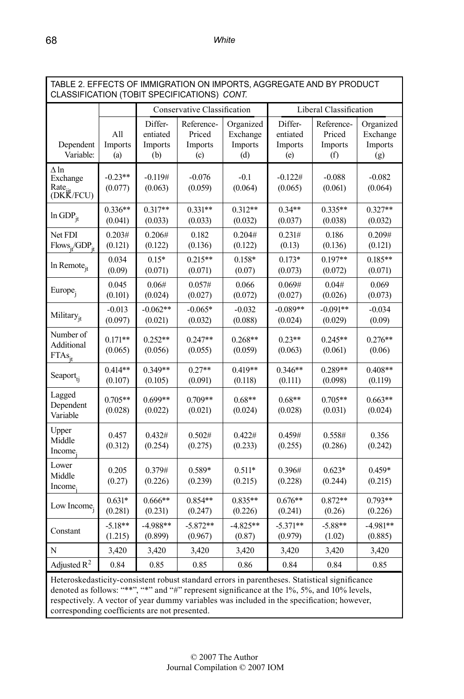| TABLE 2. EFFECTS OF IMMIGRATION ON IMPORTS, AGGREGATE AND BY PRODUCT<br>CLASSIFICATION (TOBIT SPECIFICATIONS) CONT. |                       |                                       |                                        |                                         |                                       |                                        |                                         |  |
|---------------------------------------------------------------------------------------------------------------------|-----------------------|---------------------------------------|----------------------------------------|-----------------------------------------|---------------------------------------|----------------------------------------|-----------------------------------------|--|
|                                                                                                                     |                       |                                       | Conservative Classification            |                                         |                                       | Liberal Classification                 |                                         |  |
| Dependent<br>Variable:                                                                                              | All<br>Imports<br>(a) | Differ-<br>entiated<br>Imports<br>(b) | Reference-<br>Priced<br>Imports<br>(c) | Organized<br>Exchange<br>Imports<br>(d) | Differ-<br>entiated<br>Imports<br>(e) | Reference-<br>Priced<br>Imports<br>(f) | Organized<br>Exchange<br>Imports<br>(g) |  |
| $\Delta$ ln<br>Exchange<br>Rate<br>(DKK/FCU)                                                                        | $-0.23**$<br>(0.077)  | $-0.119#$<br>(0.063)                  | $-0.076$<br>(0.059)                    | $-0.1$<br>(0.064)                       | $-0.122#$<br>(0.065)                  | $-0.088$<br>(0.061)                    | $-0.082$<br>(0.064)                     |  |
| $ln GDP_{it}$                                                                                                       | $0.336**$<br>(0.041)  | $0.317**$<br>(0.033)                  | $0.331**$<br>(0.033)                   | $0.312**$<br>(0.032)                    | $0.34**$<br>(0.037)                   | $0.335**$<br>(0.038)                   | $0.327**$<br>(0.032)                    |  |
| Net FDI<br>$Flows_{it}/GDP_{it}$                                                                                    | 0.203#<br>(0.121)     | 0.206#<br>(0.122)                     | 0.182<br>(0.136)                       | 0.204#<br>(0.122)                       | 0.231#<br>(0.13)                      | 0.186<br>(0.136)                       | 0.209#<br>(0.121)                       |  |
| $ln$ Remote <sub>it</sub>                                                                                           | 0.034<br>(0.09)       | $0.15*$<br>(0.071)                    | $0.215**$<br>(0.071)                   | 0.158*<br>(0.07)                        | $0.173*$<br>(0.073)                   | $0.197**$<br>(0.072)                   | $0.185**$<br>(0.071)                    |  |
| Europe <sub>i</sub>                                                                                                 | 0.045<br>(0.101)      | 0.06#<br>(0.024)                      | 0.057#<br>(0.027)                      | 0.066<br>(0.072)                        | 0.069#<br>(0.027)                     | 0.04#<br>(0.026)                       | 0.069<br>(0.073)                        |  |
| Military <sub>it</sub>                                                                                              | $-0.013$<br>(0.097)   | $-0.062**$<br>(0.021)                 | $-0.065*$<br>(0.032)                   | $-0.032$<br>(0.088)                     | $-0.089**$<br>(0.024)                 | $-0.091**$<br>(0.029)                  | $-0.034$<br>(0.09)                      |  |
| Number of<br>Additional<br>$FTAs$ <sub>it</sub>                                                                     | $0.171**$<br>(0.065)  | $0.252**$<br>(0.056)                  | $0.247**$<br>(0.055)                   | $0.268**$<br>(0.059)                    | $0.23**$<br>(0.063)                   | $0.245**$<br>(0.061)                   | $0.276**$<br>(0.06)                     |  |
| Seaport <sub>ti</sub>                                                                                               | $0.414**$<br>(0.107)  | $0.349**$<br>(0.105)                  | $0.27**$<br>(0.091)                    | $0.419**$<br>(0.118)                    | $0.346**$<br>(0.111)                  | $0.289**$<br>(0.098)                   | $0.408**$<br>(0.119)                    |  |
| Lagged<br>Dependent<br>Variable                                                                                     | 0.705**<br>(0.028)    | $0.699**$<br>(0.022)                  | $0.709**$<br>(0.021)                   | $0.68**$<br>(0.024)                     | $0.68**$<br>(0.028)                   | $0.705**$<br>(0.031)                   | $0.663**$<br>(0.024)                    |  |
| Upper<br>Middle<br>Income.                                                                                          | 0.457<br>(0.312)      | 0.432#<br>(0.254)                     | 0.502#<br>(0.275)                      | 0.422#<br>(0.233)                       | 0.459#<br>(0.255)                     | 0.558#<br>(0.286)                      | 0.356<br>(0.242)                        |  |
| Lower<br>Middle<br>Income.                                                                                          | 0.205<br>(0.27)       | 0.379#<br>(0.226)                     | 0.589*<br>(0.239)                      | $0.511*$<br>(0.215)                     | 0.396#<br>(0.228)                     | $0.623*$<br>(0.244)                    | $0.459*$<br>(0.215)                     |  |
| Low Income;                                                                                                         | $0.631*$<br>(0.281)   | $0.666**$<br>(0.231)                  | $0.854**$<br>(0.247)                   | $0.835**$<br>(0.226)                    | $0.676**$<br>(0.241)                  | $0.872**$<br>(0.26)                    | $0.793**$<br>(0.226)                    |  |
| Constant                                                                                                            | $-5.18**$<br>(1.215)  | $-4.988**$<br>(0.899)                 | $-5.872**$<br>(0.967)                  | $-4.825**$<br>(0.87)                    | $-5.371**$<br>(0.979)                 | $-5.88**$<br>(1.02)                    | $-4.981**$<br>(0.885)                   |  |
| N                                                                                                                   | 3,420                 | 3,420                                 | 3,420                                  | 3,420                                   | 3,420                                 | 3,420                                  | 3,420                                   |  |
| Adjusted $R^2$                                                                                                      | 0.84                  | 0.85                                  | 0.85                                   | 0.86                                    | 0.84                                  | 0.84                                   | 0.85                                    |  |
| Ustanoglycehottaity consistent robust standard errors in perentheses. Statistical significance                      |                       |                                       |                                        |                                         |                                       |                                        |                                         |  |

Heteroskedasticity-consistent robust standard errors in parentheses. Statistical significance denoted as follows: "\*\*", "\*" and "#" represent significance at the 1%, 5%, and 10% levels, respectively. A vector of year dummy variables was included in the specification; however, corresponding coefficients are not presented.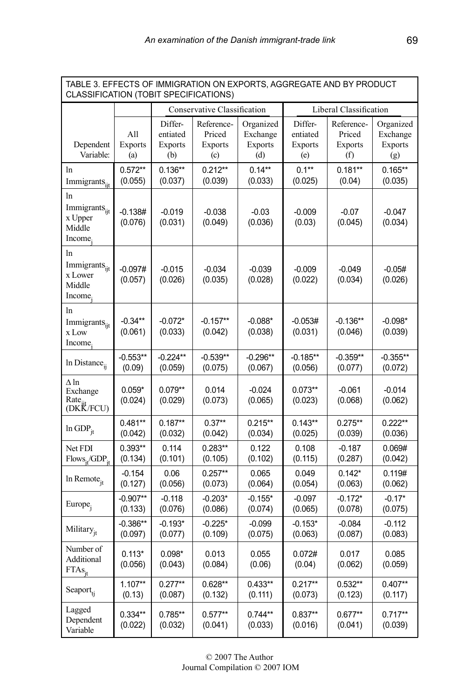| TABLE 3. EFFECTS OF IMMIGRATION ON EXPORTS, AGGREGATE AND BY PRODUCT<br>CLASSIFICATION (TOBIT SPECIFICATIONS) |                              |                                              |                                                                  |                                                |                                              |                                               |                                                |  |
|---------------------------------------------------------------------------------------------------------------|------------------------------|----------------------------------------------|------------------------------------------------------------------|------------------------------------------------|----------------------------------------------|-----------------------------------------------|------------------------------------------------|--|
|                                                                                                               |                              |                                              | Conservative Classification                                      |                                                |                                              | Liberal Classification                        |                                                |  |
| Dependent<br>Variable:                                                                                        | All<br><b>Exports</b><br>(a) | Differ-<br>entiated<br><b>Exports</b><br>(b) | Reference-<br>Priced<br><b>Exports</b><br>$\left( \circ \right)$ | Organized<br>Exchange<br><b>Exports</b><br>(d) | Differ-<br>entiated<br><b>Exports</b><br>(e) | Reference-<br>Priced<br><b>Exports</b><br>(f) | Organized<br>Exchange<br><b>Exports</b><br>(g) |  |
| ln<br>Immigrants <sub>iit</sub>                                                                               | $0.572**$<br>(0.055)         | $0.136**$<br>(0.037)                         | $0.212**$<br>(0.039)                                             | $0.14**$<br>(0.033)                            | $0.1**$<br>(0.025)                           | $0.181**$<br>(0.04)                           | $0.165**$<br>(0.035)                           |  |
| ln<br>Immigrants <sub>iit</sub><br>x Upper<br>Middle<br>Income.                                               | $-0.138#$<br>(0.076)         | $-0.019$<br>(0.031)                          | $-0.038$<br>(0.049)                                              | $-0.03$<br>(0.036)                             | $-0.009$<br>(0.03)                           | $-0.07$<br>(0.045)                            | $-0.047$<br>(0.034)                            |  |
| ln<br>Immigrants <sub>iit</sub><br>x Lower<br>Middle<br>Income.                                               | $-0.097#$<br>(0.057)         | $-0.015$<br>(0.026)                          | $-0.034$<br>(0.035)                                              | $-0.039$<br>(0.028)                            | $-0.009$<br>(0.022)                          | $-0.049$<br>(0.034)                           | $-0.05#$<br>(0.026)                            |  |
| ln<br>Immigrants <sub>iit</sub><br>x Low<br>Income.                                                           | $-0.34**$<br>(0.061)         | $-0.072*$<br>(0.033)                         | $-0.157**$<br>(0.042)                                            | $-0.088*$<br>(0.038)                           | $-0.053#$<br>(0.031)                         | $-0.136**$<br>(0.046)                         | $-0.098*$<br>(0.039)                           |  |
| In Distance <sub>ii</sub>                                                                                     | $-0.553**$<br>(0.09)         | $-0.224**$<br>(0.059)                        | $-0.539**$<br>(0.075)                                            | $-0.296**$<br>(0.067)                          | $-0.185**$<br>(0.056)                        | $-0.359**$<br>(0.077)                         | $-0.355**$<br>(0.072)                          |  |
| Δln<br>Exchange<br>Rate <sub>it</sub><br>(DKK/FCU)                                                            | $0.059*$<br>(0.024)          | $0.079**$<br>(0.029)                         | 0.014<br>(0.073)                                                 | $-0.024$<br>(0.065)                            | $0.073**$<br>(0.023)                         | $-0.061$<br>(0.068)                           | $-0.014$<br>(0.062)                            |  |
| $ln GDP_{it}$                                                                                                 | $0.481**$<br>(0.042)         | $0.187**$<br>(0.032)                         | $0.37**$<br>(0.042)                                              | $0.215**$<br>(0.034)                           | $0.143**$<br>(0.025)                         | $0.275**$<br>(0.039)                          | $0.222**$<br>(0.036)                           |  |
| Net FDI<br>$Flows_{it}/GDP_{it}$                                                                              | $0.393**$<br>(0.134)         | 0.114<br>(0.101)                             | $0.283**$<br>(0.105)                                             | 0.122<br>(0.102)                               | 0.108<br>(0.115)                             | $-0.187$<br>(0.287)                           | 0.069#<br>(0.042)                              |  |
| In Remote <sub>it</sub>                                                                                       | $-0.154$<br>(0.127)          | 0.06<br>(0.056)                              | $0.257**$<br>(0.073)                                             | 0.065<br>(0.064)                               | 0.049<br>(0.054)                             | $0.142*$<br>(0.063)                           | 0.119#<br>(0.062)                              |  |
| Europe <sub>j</sub>                                                                                           | $-0.907**$<br>(0.133)        | $-0.118$<br>(0.076)                          | $-0.203*$<br>(0.086)                                             | $-0.155*$<br>(0.074)                           | $-0.097$<br>(0.065)                          | $-0.172*$<br>(0.078)                          | $-0.17*$<br>(0.075)                            |  |
| Military <sub>it</sub>                                                                                        | $-0.386**$<br>(0.097)        | $-0.193*$<br>(0.077)                         | $-0.225*$<br>(0.109)                                             | $-0.099$<br>(0.075)                            | $-0.153*$<br>(0.063)                         | $-0.084$<br>(0.087)                           | $-0.112$<br>(0.083)                            |  |
| Number of<br>Additional<br>$FTAs_{:}$                                                                         | $0.113*$<br>(0.056)          | $0.098*$<br>(0.043)                          | 0.013<br>(0.084)                                                 | 0.055<br>(0.06)                                | 0.072#<br>(0.04)                             | 0.017<br>(0.062)                              | 0.085<br>(0.059)                               |  |
| Seaport <sub>ti</sub>                                                                                         | $1.107**$<br>(0.13)          | $0.277**$<br>(0.087)                         | $0.628**$<br>(0.132)                                             | $0.433**$<br>(0.111)                           | $0.217**$<br>(0.073)                         | $0.532**$<br>(0.123)                          | $0.407**$<br>(0.117)                           |  |
| Lagged<br>Dependent<br>Variable                                                                               | $0.334**$<br>(0.022)         | $0.785**$<br>(0.032)                         | $0.577**$<br>(0.041)                                             | $0.744**$<br>(0.033)                           | $0.837**$<br>(0.016)                         | $0.677**$<br>(0.041)                          | $0.717**$<br>(0.039)                           |  |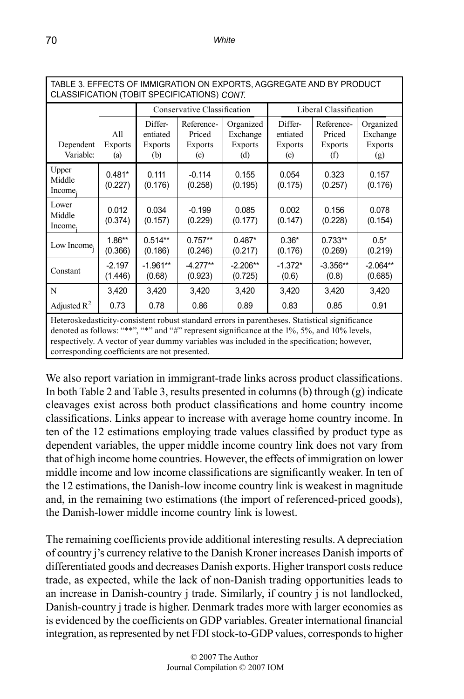| TABLE 3. EFFECTS OF IMMIGRATION ON EXPORTS, AGGREGATE AND BY PRODUCT<br>CLASSIFICATION (TOBIT SPECIFICATIONS) CONT. |                                                                                                                                                                                                                                                                                                                                             |                                              |                                               |                                                |                                              |                                               |                                                |  |  |
|---------------------------------------------------------------------------------------------------------------------|---------------------------------------------------------------------------------------------------------------------------------------------------------------------------------------------------------------------------------------------------------------------------------------------------------------------------------------------|----------------------------------------------|-----------------------------------------------|------------------------------------------------|----------------------------------------------|-----------------------------------------------|------------------------------------------------|--|--|
|                                                                                                                     |                                                                                                                                                                                                                                                                                                                                             |                                              | Conservative Classification                   |                                                |                                              | Liberal Classification                        |                                                |  |  |
| Dependent<br>Variable:                                                                                              | All<br><b>Exports</b><br>(a)                                                                                                                                                                                                                                                                                                                | Differ-<br>entiated<br><b>Exports</b><br>(b) | Reference-<br>Priced<br><b>Exports</b><br>(c) | Organized<br>Exchange<br><b>Exports</b><br>(d) | Differ-<br>entiated<br><b>Exports</b><br>(e) | Reference-<br>Priced<br><b>Exports</b><br>(f) | Organized<br>Exchange<br><b>Exports</b><br>(g) |  |  |
| Upper<br>Middle<br>Income.                                                                                          | $0.481*$<br>(0.227)                                                                                                                                                                                                                                                                                                                         | 0.111<br>(0.176)                             | $-0.114$<br>(0.258)                           | 0.155<br>(0.195)                               | 0.054<br>(0.175)                             | 0.323<br>(0.257)                              | 0.157<br>(0.176)                               |  |  |
| Lower<br>Middle<br>Income.                                                                                          | 0.012<br>(0.374)                                                                                                                                                                                                                                                                                                                            | 0.034<br>(0.157)                             | $-0.199$<br>(0.229)                           | 0.085<br>(0.177)                               | 0.002<br>(0.147)                             | 0.156<br>(0.228)                              | 0.078<br>(0.154)                               |  |  |
| Low Income,                                                                                                         | $1.86**$<br>(0.366)                                                                                                                                                                                                                                                                                                                         | $0.514**$<br>(0.186)                         | $0.757**$<br>(0.246)                          | $0.487*$<br>(0.217)                            | $0.36*$<br>(0.176)                           | $0.733**$<br>(0.269)                          | $0.5*$<br>(0.219)                              |  |  |
| Constant                                                                                                            | $-2.197$<br>(1.446)                                                                                                                                                                                                                                                                                                                         | $-1.961**$<br>(0.68)                         | $-4.277**$<br>(0.923)                         | $-2.206**$<br>(0.725)                          | $-1.372*$<br>(0.6)                           | $-3.356**$<br>(0.8)                           | $-2.064**$<br>(0.685)                          |  |  |
| N                                                                                                                   | 3,420                                                                                                                                                                                                                                                                                                                                       | 3,420                                        | 3,420                                         | 3,420                                          | 3,420                                        | 3,420                                         | 3,420                                          |  |  |
| Adjusted $R^2$                                                                                                      | 0.73                                                                                                                                                                                                                                                                                                                                        | 0.78                                         | 0.86                                          | 0.89                                           | 0.83                                         | 0.85                                          | 0.91                                           |  |  |
|                                                                                                                     | Heteroskedasticity-consistent robust standard errors in parentheses. Statistical significance<br>denoted as follows: "**", "*" and "#" represent significance at the 1%, 5%, and 10% levels,<br>respectively. A vector of year dummy variables was included in the specification; however,<br>corresponding coefficients are not presented. |                                              |                                               |                                                |                                              |                                               |                                                |  |  |

We also report variation in immigrant-trade links across product classifications. In both Table 2 and Table 3, results presented in columns (b) through (g) indicate cleavages exist across both product classifications and home country income classifications. Links appear to increase with average home country income. In ten of the 12 estimations employing trade values classified by product type as dependent variables, the upper middle income country link does not vary from that of high income home countries. However, the effects of immigration on lower middle income and low income classifications are significantly weaker. In ten of the 12 estimations, the Danish-low income country link is weakest in magnitude and, in the remaining two estimations (the import of referenced-priced goods), the Danish-lower middle income country link is lowest.

The remaining coefficients provide additional interesting results. A depreciation of country j's currency relative to the Danish Kroner increases Danish imports of differentiated goods and decreases Danish exports. Higher transport costs reduce trade, as expected, while the lack of non-Danish trading opportunities leads to an increase in Danish-country j trade. Similarly, if country j is not landlocked, Danish-country j trade is higher. Denmark trades more with larger economies as is evidenced by the coefficients on GDP variables. Greater international financial integration, as represented by net FDI stock-to-GDP values, corresponds to higher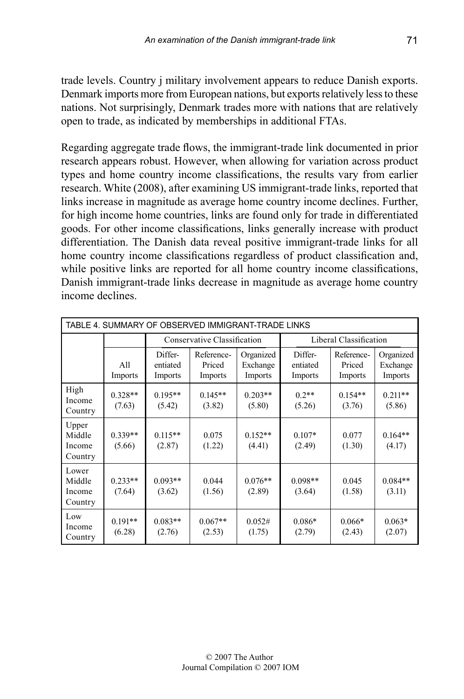trade levels. Country j military involvement appears to reduce Danish exports. Denmark imports more from European nations, but exports relatively less to these nations. Not surprisingly, Denmark trades more with nations that are relatively open to trade, as indicated by memberships in additional FTAs.

Regarding aggregate trade flows, the immigrant-trade link documented in prior research appears robust. However, when allowing for variation across product types and home country income classifications, the results vary from earlier research. White (2008), after examining US immigrant-trade links, reported that links increase in magnitude as average home country income declines. Further, for high income home countries, links are found only for trade in differentiated goods. For other income classifications, links generally increase with product differentiation. The Danish data reveal positive immigrant-trade links for all home country income classifications regardless of product classification and, while positive links are reported for all home country income classifications, Danish immigrant-trade links decrease in magnitude as average home country income declines.

|                                      | TABLE 4. SUMMARY OF OBSERVED IMMIGRANT-TRADE LINKS |                                |                                 |                                  |                                |                                 |                                  |  |  |  |
|--------------------------------------|----------------------------------------------------|--------------------------------|---------------------------------|----------------------------------|--------------------------------|---------------------------------|----------------------------------|--|--|--|
|                                      |                                                    |                                | Conservative Classification     |                                  |                                | Liberal Classification          |                                  |  |  |  |
|                                      | All<br>Imports                                     | Differ-<br>entiated<br>Imports | Reference-<br>Priced<br>Imports | Organized<br>Exchange<br>Imports | Differ-<br>entiated<br>Imports | Reference-<br>Priced<br>Imports | Organized<br>Exchange<br>Imports |  |  |  |
| High<br>Income<br>Country            | $0.328**$<br>(7.63)                                | $0.195**$<br>(5.42)            | $0.145**$<br>(3.82)             | $0.203**$<br>(5.80)              | $0.2**$<br>(5.26)              | $0.154**$<br>(3.76)             | $0.211**$<br>(5.86)              |  |  |  |
| Upper<br>Middle<br>Income<br>Country | $0.339**$<br>(5.66)                                | $0.115**$<br>(2.87)            | 0.075<br>(1.22)                 | $0.152**$<br>(4.41)              | $0.107*$<br>(2.49)             | 0.077<br>(1.30)                 | $0.164**$<br>(4.17)              |  |  |  |
| Lower<br>Middle<br>Income<br>Country | $0.233**$<br>(7.64)                                | $0.093**$<br>(3.62)            | 0.044<br>(1.56)                 | $0.076**$<br>(2.89)              | $0.098**$<br>(3.64)            | 0.045<br>(1.58)                 | $0.084**$<br>(3.11)              |  |  |  |
| Low<br>Income<br>Country             | $0.191**$<br>(6.28)                                | $0.083**$<br>(2.76)            | $0.067**$<br>(2.53)             | 0.052#<br>(1.75)                 | $0.086*$<br>(2.79)             | $0.066*$<br>(2.43)              | $0.063*$<br>(2.07)               |  |  |  |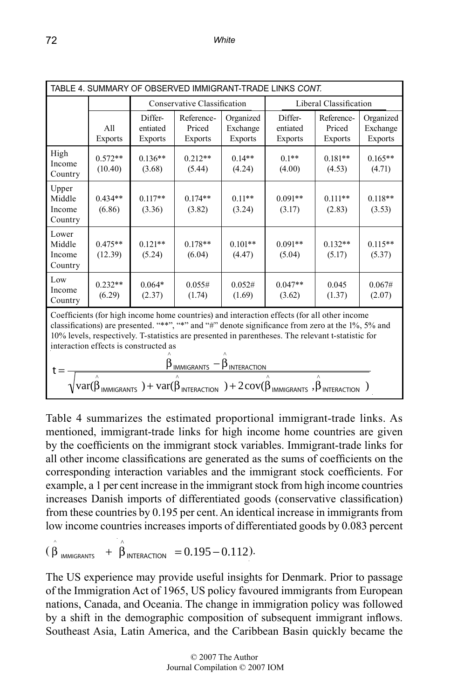| TABLE 4. SUMMARY OF OBSERVED IMMIGRANT-TRADE LINKS CONT.                                                                                                                                                                                                                                                                                                                                                                                                                                                                                                                           |                       |                                |                                        |                                         |                                       |                                        |                                         |  |
|------------------------------------------------------------------------------------------------------------------------------------------------------------------------------------------------------------------------------------------------------------------------------------------------------------------------------------------------------------------------------------------------------------------------------------------------------------------------------------------------------------------------------------------------------------------------------------|-----------------------|--------------------------------|----------------------------------------|-----------------------------------------|---------------------------------------|----------------------------------------|-----------------------------------------|--|
|                                                                                                                                                                                                                                                                                                                                                                                                                                                                                                                                                                                    |                       |                                | Conservative Classification            |                                         |                                       | Liberal Classification                 |                                         |  |
|                                                                                                                                                                                                                                                                                                                                                                                                                                                                                                                                                                                    | All<br><b>Exports</b> | Differ-<br>entiated<br>Exports | Reference-<br>Priced<br><b>Exports</b> | Organized<br>Exchange<br><b>Exports</b> | Differ-<br>entiated<br><b>Exports</b> | Reference-<br>Priced<br><b>Exports</b> | Organized<br>Exchange<br><b>Exports</b> |  |
| High<br>Income<br>Country                                                                                                                                                                                                                                                                                                                                                                                                                                                                                                                                                          | $0.572**$<br>(10.40)  | $0.136**$<br>(3.68)            | $0.212**$<br>(5.44)                    | $0.14**$<br>(4.24)                      | $0.1**$<br>(4.00)                     | $0.181**$<br>(4.53)                    | $0.165**$<br>(4.71)                     |  |
| Upper<br>Middle<br>Income<br>Country                                                                                                                                                                                                                                                                                                                                                                                                                                                                                                                                               | $0.434**$<br>(6.86)   | $0.117**$<br>(3.36)            | $0.174**$<br>(3.82)                    | $0.11**$<br>(3.24)                      | $0.091**$<br>(3.17)                   | $0.111**$<br>(2.83)                    | $0.118**$<br>(3.53)                     |  |
| Lower<br>Middle<br>Income<br>Country                                                                                                                                                                                                                                                                                                                                                                                                                                                                                                                                               | $0.475**$<br>(12.39)  | $0.121**$<br>(5.24)            | $0.178**$<br>(6.04)                    | $0.101**$<br>(4.47)                     | $0.091**$<br>(5.04)                   | $0.132**$<br>(5.17)                    | $0.115**$<br>(5.37)                     |  |
| Low<br>Income<br>Country                                                                                                                                                                                                                                                                                                                                                                                                                                                                                                                                                           | $0.232**$<br>(6.29)   | $0.064*$<br>(2.37)             | 0.055#<br>(1.74)                       | 0.052#<br>(1.69)                        | $0.047**$<br>(3.62)                   | 0.045<br>(1.37)                        | 0.067#<br>(2.07)                        |  |
| Coefficients (for high income home countries) and interaction effects (for all other income<br>classifications) are presented. "**", "*" and "#" denote significance from zero at the 1%, 5% and<br>10% levels, respectively. T-statistics are presented in parentheses. The relevant t-statistic for<br>interaction effects is constructed as<br>$\beta$ <sub>IMMIGRANTS</sub> -<br><b>B</b> INTERACTION<br>$t =$<br>$\sqrt{\mathrm{var}(\beta_{\text{IMMIGRANTS}})+\mathrm{var}(\beta_{\text{INTERATION}})+2\mathrm{cov}(\beta_{\text{IMMIGRANTS}}),\beta_{\text{INTERATION}})}$ |                       |                                |                                        |                                         |                                       |                                        |                                         |  |

Table 4 summarizes the estimated proportional immigrant-trade links. As mentioned, immigrant-trade links for high income home countries are given by the coefficients on the immigrant stock variables. Immigrant-trade links for all other income classifications are generated as the sums of coefficients on the corresponding interaction variables and the immigrant stock coefficients. For example, a 1 per cent increase in the immigrant stock from high income countries increases Danish imports of differentiated goods (conservative classification) from these countries by 0.195 per cent. An identical increase in immigrants from low income countries increases imports of differentiated goods by 0.083 percent

 $(\hat{\hat{\beta}}_{IMMIGRANTS} + \hat{\hat{\beta}}_{INTERACTION} = 0.195 - 0.112).$  $\ddot{\phantom{a}}$ 

nations, Canada, and Oceania. The change in immigration policy was followed The US experience may provide useful insights for Denmark. Prior to passage of the Immigration Act of 1965, US policy favoured immigrants from European by a shift in the demographic composition of subsequent immigrant inflows. Southeast Asia, Latin America, and the Caribbean Basin quickly became the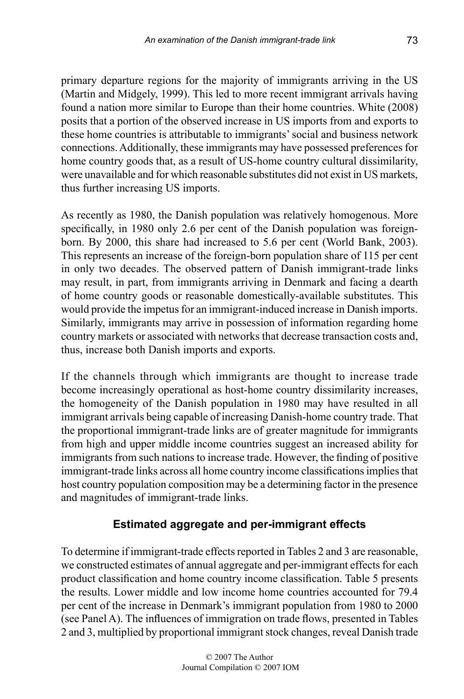primary departure regions for the majority of immigrants arriving in the US (Martin and Midgely, 1999). This led to more recent immigrant arrivals having found a nation more similar to Europe than their home countries. White (2008) posits that a portion of the observed increase in US imports from and exports to these home countries is attributable to immigrants' social and business network connections. Additionally, these immigrants may have possessed preferences for home country goods that, as a result of US-home country cultural dissimilarity, were unavailable and for which reasonable substitutes did not exist in US markets, thus further increasing US imports.

As recently as 1980, the Danish population was relatively homogenous. More specifically, in 1980 only 2.6 per cent of the Danish population was foreignborn. By 2000, this share had increased to 5.6 per cent (World Bank, 2003). This represents an increase of the foreign-born population share of 115 per cent in only two decades. The observed pattern of Danish immigrant-trade links may result, in part, from immigrants arriving in Denmark and facing a dearth of home country goods or reasonable domestically-available substitutes. This would provide the impetus for an immigrant-induced increase in Danish imports. Similarly, immigrants may arrive in possession of information regarding home country markets or associated with networks that decrease transaction costs and, thus, increase both Danish imports and exports.

If the channels through which immigrants are thought to increase trade become increasingly operational as host-home country dissimilarity increases, the homogeneity of the Danish population in 1980 may have resulted in all immigrant arrivals being capable of increasing Danish-home country trade. That the proportional immigrant-trade links are of greater magnitude for immigrants from high and upper middle income countries suggest an increased ability for immigrants from such nations to increase trade. However, the finding of positive immigrant-trade links across all home country income classifications implies that host country population composition may be a determining factor in the presence and magnitudes of immigrant-trade links.

#### **Estimated aggregate and per-immigrant effects**

To determine if immigrant-trade effects reported in Tables 2 and 3 are reasonable, we constructed estimates of annual aggregate and per-immigrant effects for each product classification and home country income classification. Table 5 presents the results. Lower middle and low income home countries accounted for 79.4 per cent of the increase in Denmark's immigrant population from 1980 to 2000 (see Panel A). The influences of immigration on trade flows, presented in Tables 2 and 3, multiplied by proportional immigrant stock changes, reveal Danish trade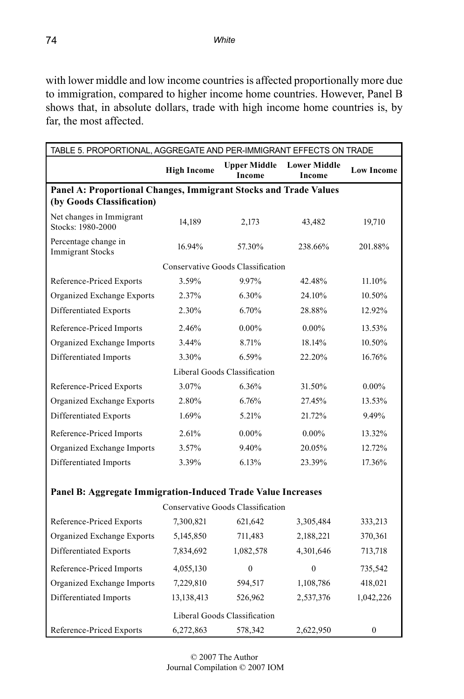with lower middle and low income countries is affected proportionally more due to immigration, compared to higher income home countries. However, Panel B shows that, in absolute dollars, trade with high income home countries is, by far, the most affected.

| TABLE 5. PROPORTIONAL, AGGREGATE AND PER-IMMIGRANT EFFECTS ON TRADE |                    |                                          |                                      |                   |  |  |  |  |  |
|---------------------------------------------------------------------|--------------------|------------------------------------------|--------------------------------------|-------------------|--|--|--|--|--|
|                                                                     | <b>High Income</b> | <b>Upper Middle</b><br><b>Income</b>     | <b>Lower Middle</b><br><b>Income</b> | <b>Low Income</b> |  |  |  |  |  |
| Panel A: Proportional Changes, Immigrant Stocks and Trade Values    |                    |                                          |                                      |                   |  |  |  |  |  |
| (by Goods Classification)                                           |                    |                                          |                                      |                   |  |  |  |  |  |
| Net changes in Immigrant<br>Stocks: 1980-2000                       | 14,189             | 2,173                                    | 43,482                               | 19,710            |  |  |  |  |  |
| Percentage change in<br><b>Immigrant Stocks</b>                     | 16.94%             | 57.30%                                   | 238.66%                              | 201.88%           |  |  |  |  |  |
|                                                                     |                    | <b>Conservative Goods Classification</b> |                                      |                   |  |  |  |  |  |
| Reference-Priced Exports                                            | 3.59%              | 9.97%                                    | 42.48%                               | 11.10%            |  |  |  |  |  |
| Organized Exchange Exports                                          | 2.37%              | 6.30%                                    | 24.10%                               | 10.50%            |  |  |  |  |  |
| Differentiated Exports                                              | 2.30%              | 6.70%                                    | 28.88%                               | 12.92%            |  |  |  |  |  |
| Reference-Priced Imports                                            | 2.46%              | $0.00\%$                                 | $0.00\%$                             | 13.53%            |  |  |  |  |  |
| Organized Exchange Imports                                          | 3.44%              | 8.71%                                    | 18.14%                               | 10.50%            |  |  |  |  |  |
| Differentiated Imports                                              | 3.30%              | 6.59%                                    | 22.20%                               | 16.76%            |  |  |  |  |  |
| Liberal Goods Classification                                        |                    |                                          |                                      |                   |  |  |  |  |  |
| Reference-Priced Exports                                            | 3.07%              | 6.36%                                    | 31.50%                               | $0.00\%$          |  |  |  |  |  |
| Organized Exchange Exports                                          | 2.80%              | 6.76%                                    | 27.45%                               | 13.53%            |  |  |  |  |  |
| Differentiated Exports                                              | 1.69%              | 5.21%                                    | 21.72%                               | 9.49%             |  |  |  |  |  |
| Reference-Priced Imports                                            | 2.61%              | $0.00\%$                                 | $0.00\%$                             | 13.32%            |  |  |  |  |  |
| Organized Exchange Imports                                          | 3.57%              | 9.40%                                    | 20.05%                               | 12.72%            |  |  |  |  |  |
| Differentiated Imports                                              | 3.39%              | 6.13%                                    | 23.39%                               | 17.36%            |  |  |  |  |  |
|                                                                     |                    |                                          |                                      |                   |  |  |  |  |  |
| Panel B: Aggregate Immigration-Induced Trade Value Increases        |                    |                                          |                                      |                   |  |  |  |  |  |
|                                                                     |                    | Conservative Goods Classification        |                                      |                   |  |  |  |  |  |
| Reference-Priced Exports                                            | 7,300,821          | 621,642                                  | 3,305,484                            | 333,213           |  |  |  |  |  |
| Organized Exchange Exports                                          | 5,145,850          | 711,483                                  | 2,188,221                            | 370,361           |  |  |  |  |  |
| Differentiated Exports                                              | 7,834,692          | 1,082,578                                | 4,301,646                            | 713,718           |  |  |  |  |  |
| Reference-Priced Imports                                            | 4,055,130          | $\mathbf{0}$                             | $\mathbf{0}$                         | 735,542           |  |  |  |  |  |
| Organized Exchange Imports                                          | 7,229,810          | 594,517                                  | 1,108,786                            | 418,021           |  |  |  |  |  |
| Differentiated Imports                                              | 13, 138, 413       | 526,962                                  | 2,537,376                            | 1,042,226         |  |  |  |  |  |
|                                                                     |                    | Liberal Goods Classification             |                                      |                   |  |  |  |  |  |
| Reference-Priced Exports                                            | 6,272,863          | 578,342                                  | 2,622,950                            | $\overline{0}$    |  |  |  |  |  |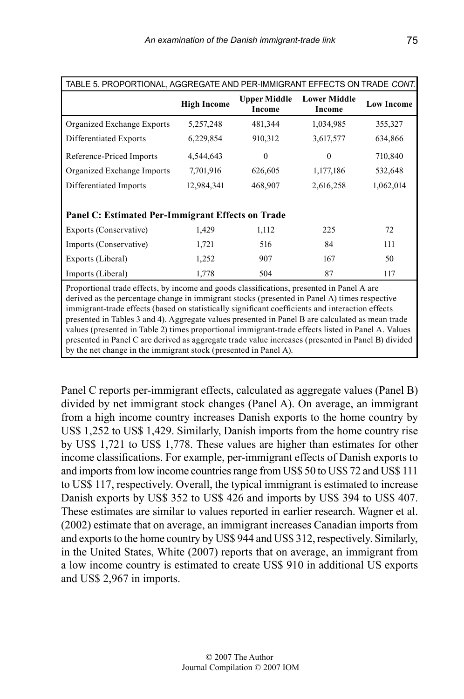| TABLE 5. PROPORTIONAL, AGGREGATE AND PER-IMMIGRANT EFFECTS ON TRADE CONT.                                                                                                                                                                                                                                                                                                                                                                                                                               |                    |                               |                               |                   |  |  |  |  |
|---------------------------------------------------------------------------------------------------------------------------------------------------------------------------------------------------------------------------------------------------------------------------------------------------------------------------------------------------------------------------------------------------------------------------------------------------------------------------------------------------------|--------------------|-------------------------------|-------------------------------|-------------------|--|--|--|--|
|                                                                                                                                                                                                                                                                                                                                                                                                                                                                                                         | <b>High Income</b> | <b>Upper Middle</b><br>Income | <b>Lower Middle</b><br>Income | <b>Low Income</b> |  |  |  |  |
| Organized Exchange Exports                                                                                                                                                                                                                                                                                                                                                                                                                                                                              | 5,257,248          | 481,344                       | 1,034,985                     | 355,327           |  |  |  |  |
| Differentiated Exports                                                                                                                                                                                                                                                                                                                                                                                                                                                                                  | 6,229,854          | 910,312                       | 3,617,577                     | 634,866           |  |  |  |  |
| Reference-Priced Imports                                                                                                                                                                                                                                                                                                                                                                                                                                                                                | 4,544,643          | $\Omega$                      | $\Omega$                      | 710,840           |  |  |  |  |
| Organized Exchange Imports                                                                                                                                                                                                                                                                                                                                                                                                                                                                              | 7,701,916          | 626,605                       | 1,177,186                     | 532,648           |  |  |  |  |
| Differentiated Imports                                                                                                                                                                                                                                                                                                                                                                                                                                                                                  | 12,984,341         | 468,907                       | 2,616,258                     | 1,062,014         |  |  |  |  |
|                                                                                                                                                                                                                                                                                                                                                                                                                                                                                                         |                    |                               |                               |                   |  |  |  |  |
| Panel C: Estimated Per-Immigrant Effects on Trade                                                                                                                                                                                                                                                                                                                                                                                                                                                       |                    |                               |                               |                   |  |  |  |  |
| Exports (Conservative)                                                                                                                                                                                                                                                                                                                                                                                                                                                                                  | 1,429              | 1,112                         | 225                           | 72                |  |  |  |  |
| Imports (Conservative)                                                                                                                                                                                                                                                                                                                                                                                                                                                                                  | 1,721              | 516                           | 84                            | 111               |  |  |  |  |
| Exports (Liberal)                                                                                                                                                                                                                                                                                                                                                                                                                                                                                       | 1,252              | 907                           | 167                           | 50                |  |  |  |  |
| Imports (Liberal)                                                                                                                                                                                                                                                                                                                                                                                                                                                                                       | 1,778              | 504                           | 87                            | 117               |  |  |  |  |
| Proportional trade effects, by income and goods classifications, presented in Panel A are<br>derived as the percentage change in immigrant stocks (presented in Panel A) times respective<br>immigrant-trade effects (based on statistically significant coefficients and interaction effects<br>presented in Tables 3 and 4). Aggregate values presented in Panel B are calculated as mean trade<br>values (presented in Table 2) times proportional immigrant-trade effects listed in Panel A. Values |                    |                               |                               |                   |  |  |  |  |

presented in Panel C are derived as aggregate trade value increases (presented in Panel B) divided

by the net change in the immigrant stock (presented in Panel A).

Panel C reports per-immigrant effects, calculated as aggregate values (Panel B) divided by net immigrant stock changes (Panel A). On average, an immigrant from a high income country increases Danish exports to the home country by US\$ 1,252 to US\$ 1,429. Similarly, Danish imports from the home country rise by US\$ 1,721 to US\$ 1,778. These values are higher than estimates for other income classifications. For example, per-immigrant effects of Danish exports to and imports from low income countries range from US\$ 50 to US\$ 72 and US\$ 111 to US\$ 117, respectively. Overall, the typical immigrant is estimated to increase Danish exports by US\$ 352 to US\$ 426 and imports by US\$ 394 to US\$ 407. These estimates are similar to values reported in earlier research. Wagner et al. (2002) estimate that on average, an immigrant increases Canadian imports from and exports to the home country by US\$ 944 and US\$ 312, respectively. Similarly, in the United States, White (2007) reports that on average, an immigrant from a low income country is estimated to create US\$ 910 in additional US exports and US\$ 2,967 in imports.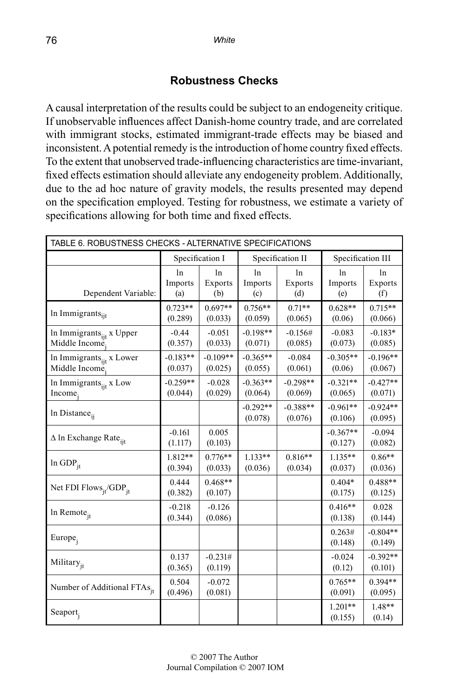#### **Robustness Checks**

A causal interpretation of the results could be subject to an endogeneity critique. If unobservable influences affect Danish-home country trade, and are correlated with immigrant stocks, estimated immigrant-trade effects may be biased and inconsistent. A potential remedy is the introduction of home country fixed effects. To the extent that unobserved trade-influencing characteristics are time-invariant, fixed effects estimation should alleviate any endogeneity problem. Additionally, due to the ad hoc nature of gravity models, the results presented may depend on the specification employed. Testing for robustness, we estimate a variety of specifications allowing for both time and fixed effects.

| TABLE 6. ROBUSTNESS CHECKS - ALTERNATIVE SPECIFICATIONS |                       |                                     |                       |                                  |                         |                       |  |  |  |
|---------------------------------------------------------|-----------------------|-------------------------------------|-----------------------|----------------------------------|-------------------------|-----------------------|--|--|--|
|                                                         |                       | Specification I<br>Specification II |                       |                                  | Specification III       |                       |  |  |  |
| Dependent Variable:                                     | ln<br>Imports<br>(a)  | ln<br>Exports<br>(b)                | ln<br>Imports<br>(c)  | 1 <sub>n</sub><br>Exports<br>(d) | $\ln$<br>Imports<br>(e) | ln<br>Exports<br>(f)  |  |  |  |
| In Immigrants <sub>iit</sub>                            | $0.723**$<br>(0.289)  | $0.697**$<br>(0.033)                | $0.756**$<br>(0.059)  | $0.71**$<br>(0.065)              | $0.628**$<br>(0.06)     | $0.715**$<br>(0.066)  |  |  |  |
| In Immigrants $_{ijt}$ x Upper<br>Middle Income         | $-0.44$<br>(0.357)    | $-0.051$<br>(0.033)                 | $-0.198**$<br>(0.071) | $-0.156#$<br>(0.085)             | $-0.083$<br>(0.073)     | $-0.183*$<br>(0.085)  |  |  |  |
| In Immigrants <sub>iit</sub> x Lower<br>Middle Income.  | $-0.183**$<br>(0.037) | $-0.109**$<br>(0.025)               | $-0.365**$<br>(0.055) | $-0.084$<br>(0.061)              | $-0.305**$<br>(0.06)    | $-0.196**$<br>(0.067) |  |  |  |
| In Immigrants <sub>ijt</sub> x Low<br>Income,           | $-0.259**$<br>(0.044) | $-0.028$<br>(0.029)                 | $-0.363**$<br>(0.064) | $-0.298**$<br>(0.069)            | $-0.321**$<br>(0.065)   | $-0.427**$<br>(0.071) |  |  |  |
| In Distance <sub>ij</sub>                               |                       |                                     | $-0.292**$<br>(0.078) | $-0.388**$<br>(0.076)            | $-0.961**$<br>(0.106)   | $-0.924**$<br>(0.095) |  |  |  |
| $\Delta$ ln Exchange Rate <sub>ijt</sub>                | $-0.161$<br>(1.117)   | 0.005<br>(0.103)                    |                       |                                  | $-0.367**$<br>(0.127)   | $-0.094$<br>(0.082)   |  |  |  |
| $ln GDP_{it}$                                           | 1.812**<br>(0.394)    | $0.776**$<br>(0.033)                | $1.133**$<br>(0.036)  | $0.816**$<br>(0.034)             | $1.135**$<br>(0.037)    | $0.86**$<br>(0.036)   |  |  |  |
| Net FDI Flows $_{jt}$ /GDP <sub>jt</sub>                | 0.444<br>(0.382)      | $0.468**$<br>(0.107)                |                       |                                  | $0.404*$<br>(0.175)     | 0.488**<br>(0.125)    |  |  |  |
| In Remote <sub>jt</sub>                                 | $-0.218$<br>(0.344)   | $-0.126$<br>(0.086)                 |                       |                                  | $0.416**$<br>(0.138)    | 0.028<br>(0.144)      |  |  |  |
| Europe <sub>i</sub>                                     |                       |                                     |                       |                                  | 0.263#<br>(0.148)       | $-0.804**$<br>(0.149) |  |  |  |
| Military <sub>it</sub>                                  | 0.137<br>(0.365)      | $-0.231#$<br>(0.119)                |                       |                                  | $-0.024$<br>(0.12)      | $-0.392**$<br>(0.101) |  |  |  |
| Number of Additional FTAs <sub>it</sub>                 | 0.504<br>(0.496)      | $-0.072$<br>(0.081)                 |                       |                                  | $0.765**$<br>(0.091)    | $0.394**$<br>(0.095)  |  |  |  |
| $Seaport$ <sub>j</sub>                                  |                       |                                     |                       |                                  | $1.201**$<br>(0.155)    | $1.48**$<br>(0.14)    |  |  |  |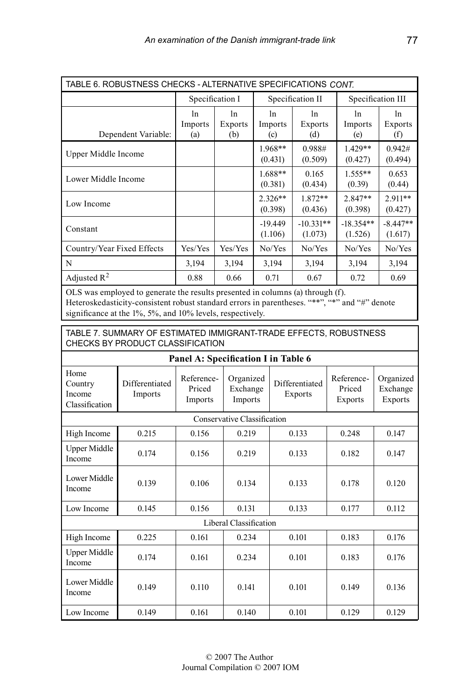| TABLE 6. ROBUSTNESS CHECKS - ALTERNATIVE SPECIFICATIONS CONT. |                      |                       |                      |                        |                        |                       |  |  |
|---------------------------------------------------------------|----------------------|-----------------------|----------------------|------------------------|------------------------|-----------------------|--|--|
|                                                               | Specification I      |                       |                      | Specification II       | Specification III      |                       |  |  |
| Dependent Variable:                                           | 1n<br>Imports<br>(a) | ln.<br>Exports<br>(b) | 1n<br>Imports<br>(c) | 1n<br>Exports<br>(d)   | 1n<br>Imports<br>(e)   | 1n<br>Exports<br>(f)  |  |  |
| Upper Middle Income                                           |                      |                       | $1.968**$<br>(0.431) | 0.988#<br>(0.509)      | $1.429**$<br>(0.427)   | 0.942#<br>(0.494)     |  |  |
| Lower Middle Income                                           |                      |                       | $1.688**$<br>(0.381) | 0.165<br>(0.434)       | $1.555**$<br>(0.39)    | 0.653<br>(0.44)       |  |  |
| Low Income                                                    |                      |                       | $2.326**$<br>(0.398) | $1.872**$<br>(0.436)   | $2.847**$<br>(0.398)   | 2.911**<br>(0.427)    |  |  |
| Constant                                                      |                      |                       | $-19.449$<br>(1.106) | $-10.331**$<br>(1.073) | $-18.354**$<br>(1.526) | $-8.447**$<br>(1.617) |  |  |
| Country/Year Fixed Effects                                    | Yes/Yes              | Yes/Yes               | No/Yes               | No/Yes                 | No/Yes                 | No/Yes                |  |  |
| N                                                             | 3,194                | 3,194                 | 3,194                | 3,194                  | 3,194                  | 3,194                 |  |  |
| Adjusted $R^2$                                                | 0.88                 | 0.66                  | 0.71                 | 0.67                   | 0.72                   | 0.69                  |  |  |

OLS was employed to generate the results presented in columns (a) through (f). Heteroskedasticity-consistent robust standard errors in parentheses. "\*\*", "\*" and "#" denote significance at the 1%, 5%, and 10% levels, respectively.

Table 7. Summary of Estimated Immigrant-Trade Effects, Robustness Checks by Product Classification

| Panel A: Specification I in Table 6         |                           |                                 |                                  |                                  |                                 |                                  |
|---------------------------------------------|---------------------------|---------------------------------|----------------------------------|----------------------------------|---------------------------------|----------------------------------|
| Home<br>Country<br>Income<br>Classification | Differentiated<br>Imports | Reference-<br>Priced<br>Imports | Organized<br>Exchange<br>Imports | Differentiated<br><b>Exports</b> | Reference-<br>Priced<br>Exports | Organized<br>Exchange<br>Exports |
| Conservative Classification                 |                           |                                 |                                  |                                  |                                 |                                  |
| High Income                                 | 0.215                     | 0.156                           | 0.219                            | 0.133                            | 0.248                           | 0.147                            |
| <b>Upper Middle</b><br>Income               | 0.174                     | 0.156                           | 0.219                            | 0.133                            | 0.182                           | 0.147                            |
| Lower Middle<br>Income                      | 0.139                     | 0.106                           | 0.134                            | 0.133                            | 0.178                           | 0.120                            |
| Low Income                                  | 0.145                     | 0.156                           | 0.131                            | 0.133                            | 0.177                           | 0.112                            |
| Liberal Classification                      |                           |                                 |                                  |                                  |                                 |                                  |
| High Income                                 | 0.225                     | 0.161                           | 0.234                            | 0.101                            | 0.183                           | 0.176                            |
| <b>Upper Middle</b><br>Income               | 0.174                     | 0.161                           | 0.234                            | 0.101                            | 0.183                           | 0.176                            |
| Lower Middle<br>Income                      | 0.149                     | 0.110                           | 0.141                            | 0.101                            | 0.149                           | 0.136                            |
| Low Income                                  | 0.149                     | 0.161                           | 0.140                            | 0.101                            | 0.129                           | 0.129                            |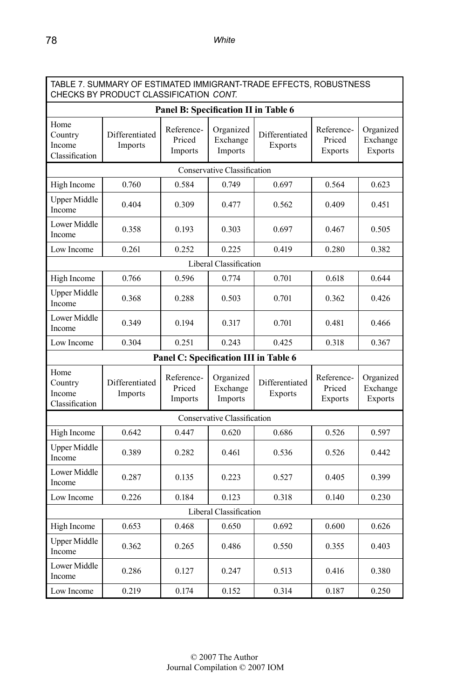| TABLE 7. SUMMARY OF ESTIMATED IMMIGRANT-TRADE EFFECTS, ROBUSTNESS<br>CHECKS BY PRODUCT CLASSIFICATION CONT. |                           |                                 |                                  |                                  |                                        |                                         |
|-------------------------------------------------------------------------------------------------------------|---------------------------|---------------------------------|----------------------------------|----------------------------------|----------------------------------------|-----------------------------------------|
| Panel B: Specification II in Table 6                                                                        |                           |                                 |                                  |                                  |                                        |                                         |
| Home<br>Country<br>Income<br>Classification                                                                 | Differentiated<br>Imports | Reference-<br>Priced<br>Imports | Organized<br>Exchange<br>Imports | Differentiated<br>Exports        | Reference-<br>Priced<br>Exports        | Organized<br>Exchange<br>Exports        |
| Conservative Classification                                                                                 |                           |                                 |                                  |                                  |                                        |                                         |
| High Income                                                                                                 | 0.760                     | 0.584                           | 0.749                            | 0.697                            | 0.564                                  | 0.623                                   |
| <b>Upper Middle</b><br>Income                                                                               | 0.404                     | 0.309                           | 0.477                            | 0.562                            | 0.409                                  | 0.451                                   |
| Lower Middle<br>Income                                                                                      | 0.358                     | 0.193                           | 0.303                            | 0.697                            | 0.467                                  | 0.505                                   |
| Low Income                                                                                                  | 0.261                     | 0.252                           | 0.225                            | 0.419                            | 0.280                                  | 0.382                                   |
| Liberal Classification                                                                                      |                           |                                 |                                  |                                  |                                        |                                         |
| High Income                                                                                                 | 0.766                     | 0.596                           | 0.774                            | 0.701                            | 0.618                                  | 0.644                                   |
| <b>Upper Middle</b><br>Income                                                                               | 0.368                     | 0.288                           | 0.503                            | 0.701                            | 0.362                                  | 0.426                                   |
| Lower Middle<br>Income                                                                                      | 0.349                     | 0.194                           | 0.317                            | 0.701                            | 0.481                                  | 0.466                                   |
| Low Income                                                                                                  | 0.304                     | 0.251                           | 0.243                            | 0.425                            | 0.318                                  | 0.367                                   |
| Panel C: Specification III in Table 6                                                                       |                           |                                 |                                  |                                  |                                        |                                         |
| Home<br>Country<br>Income<br>Classification                                                                 | Differentiated<br>Imports | Reference-<br>Priced<br>Imports | Organized<br>Exchange<br>Imports | Differentiated<br><b>Exports</b> | Reference-<br>Priced<br><b>Exports</b> | Organized<br>Exchange<br><b>Exports</b> |
| Conservative Classification                                                                                 |                           |                                 |                                  |                                  |                                        |                                         |
| High Income                                                                                                 | 0.642                     | 0.447                           | 0.620                            | 0.686                            | 0.526                                  | 0.597                                   |
| <b>Upper Middle</b><br>Income                                                                               | 0.389                     | 0.282                           | 0.461                            | 0.536                            | 0.526                                  | 0.442                                   |
| Lower Middle<br>Income                                                                                      | 0.287                     | 0.135                           | 0.223                            | 0.527                            | 0.405                                  | 0.399                                   |
| Low Income                                                                                                  | 0.226                     | 0.184                           | 0.123                            | 0.318                            | 0.140                                  | 0.230                                   |
| Liberal Classification                                                                                      |                           |                                 |                                  |                                  |                                        |                                         |
| High Income                                                                                                 | 0.653                     | 0.468                           | 0.650                            | 0.692                            | 0.600                                  | 0.626                                   |
| <b>Upper Middle</b><br>Income                                                                               | 0.362                     | 0.265                           | 0.486                            | 0.550                            | 0.355                                  | 0.403                                   |
| Lower Middle<br>Income                                                                                      | 0.286                     | 0.127                           | 0.247                            | 0.513                            | 0.416                                  | 0.380                                   |
| Low Income                                                                                                  | 0.219                     | 0.174                           | 0.152                            | 0.314                            | 0.187                                  | 0.250                                   |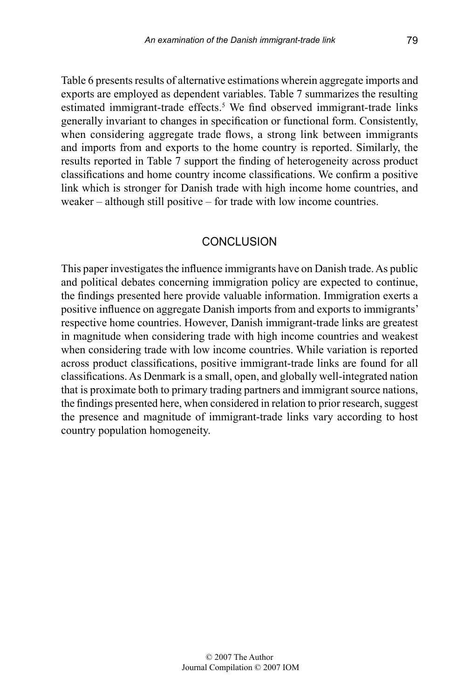Table 6 presents results of alternative estimations wherein aggregate imports and exports are employed as dependent variables. Table 7 summarizes the resulting estimated immigrant-trade effects.<sup>5</sup> We find observed immigrant-trade links generally invariant to changes in specification or functional form. Consistently, when considering aggregate trade flows, a strong link between immigrants and imports from and exports to the home country is reported. Similarly, the results reported in Table 7 support the finding of heterogeneity across product classifications and home country income classifications. We confirm a positive link which is stronger for Danish trade with high income home countries, and weaker – although still positive – for trade with low income countries.

#### CONCLUSION

This paper investigates the influence immigrants have on Danish trade. As public and political debates concerning immigration policy are expected to continue, the findings presented here provide valuable information. Immigration exerts a positive influence on aggregate Danish imports from and exports to immigrants' respective home countries. However, Danish immigrant-trade links are greatest in magnitude when considering trade with high income countries and weakest when considering trade with low income countries. While variation is reported across product classifications, positive immigrant-trade links are found for all classifications. As Denmark is a small, open, and globally well-integrated nation that is proximate both to primary trading partners and immigrant source nations, the findings presented here, when considered in relation to prior research, suggest the presence and magnitude of immigrant-trade links vary according to host country population homogeneity.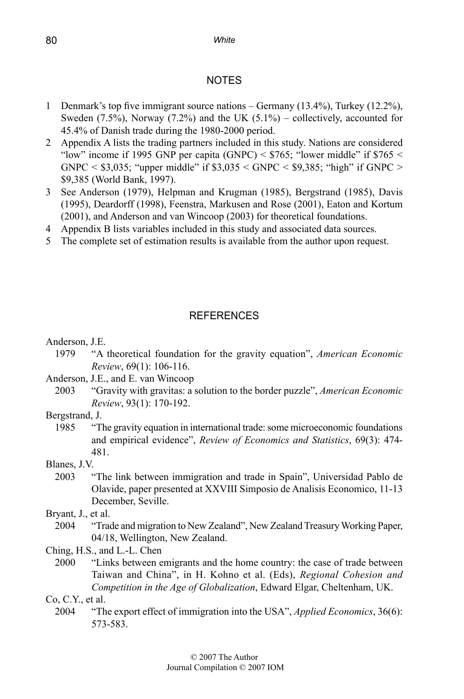#### **NOTES**

- 1 Denmark's top five immigrant source nations Germany (13.4%), Turkey (12.2%), Sweden  $(7.5\%)$ , Norway  $(7.2\%)$  and the UK  $(5.1\%)$  – collectively, accounted for 45.4% of Danish trade during the 1980-2000 period.
- 2 Appendix A lists the trading partners included in this study. Nations are considered "low" income if 1995 GNP per capita (GNPC) <  $$765$ ; "lower middle" if  $$765$  < GNPC  $\leq$  \$3,035; "upper middle" if \$3,035  $\leq$  GNPC  $\leq$  \$9,385; "high" if GNPC  $\geq$ \$9,385 (World Bank, 1997).
- 3 See Anderson (1979), Helpman and Krugman (1985), Bergstrand (1985), Davis (1995), Deardorff (1998), Feenstra, Markusen and Rose (2001), Eaton and Kortum (2001), and Anderson and van Wincoop (2003) for theoretical foundations.
- 4 Appendix B lists variables included in this study and associated data sources.
- 5 The complete set of estimation results is available from the author upon request.

#### REFERENCES

Anderson, J.E.

- 1979 "A theoretical foundation for the gravity equation", *American Economic Review*, 69(1): 106-116.
- Anderson, J.E., and E. van Wincoop
- 2003 "Gravity with gravitas: a solution to the border puzzle", *American Economic Review*, 93(1): 170-192.
- Bergstrand, J.
	- 1985 "The gravity equation in international trade: some microeconomic foundations and empirical evidence", *Review of Economics and Statistics*, 69(3): 474- 481.

Blanes, J.V.

- 2003 "The link between immigration and trade in Spain", Universidad Pablo de Olavide, paper presented at XXVIII Simposio de Analisis Economico, 11-13 December, Seville.
- Bryant, J., et al.
	- 2004 "Trade and migration to New Zealand", New Zealand Treasury Working Paper, 04/18, Wellington, New Zealand.
- Ching, H.S., and L.-L. Chen
	- 2000 "Links between emigrants and the home country: the case of trade between Taiwan and China", in H. Kohno et al. (Eds), *Regional Cohesion and Competition in the Age of Globalization*, Edward Elgar, Cheltenham, UK.

Co, C.Y., et al.

2004 "The export effect of immigration into the USA", *Applied Economics*, 36(6): 573-583.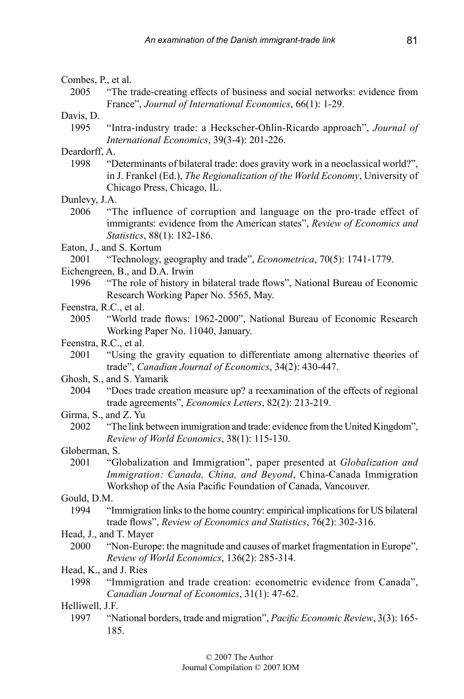#### Combes, P., et al.

2005 "The trade-creating effects of business and social networks: evidence from France", *Journal of International Economics*, 66(1): 1-29.

Davis, D.

1995 "Intra-industry trade: a Heckscher-Ohlin-Ricardo approach", *Journal of International Economics*, 39(3-4): 201-226.

Deardorff, A.

1998 "Determinants of bilateral trade: does gravity work in a neoclassical world?", in J. Frankel (Ed.), *The Regionalization of the World Economy*, University of Chicago Press, Chicago, IL.

Dunlevy, J.A.

- 2006 "The influence of corruption and language on the pro-trade effect of immigrants: evidence from the American states", *Review of Economics and Statistics*, 88(1): 182-186.
- Eaton, J., and S. Kortum
- 2001 "Technology, geography and trade", *Econometrica*, 70(5): 1741-1779.
- Eichengreen, B., and D.A. Irwin
	- 1996 "The role of history in bilateral trade flows", National Bureau of Economic Research Working Paper No. 5565, May.
- Feenstra, R.C., et al.
	- 2005 "World trade flows: 1962-2000", National Bureau of Economic Research Working Paper No. 11040, January.
- Feenstra, R.C., et al.
	- 2001 "Using the gravity equation to differentiate among alternative theories of trade", *Canadian Journal of Economics*, 34(2): 430-447.
- Ghosh, S., and S. Yamarik
	- 2004 "Does trade creation measure up? a reexamination of the effects of regional trade agreements", *Economics Letters*, 82(2): 213-219.
- Girma, S., and Z. Yu
	- 2002 "The link between immigration and trade: evidence from the United Kingdom", *Review of World Economics*, 38(1): 115-130.
- Globerman, S.
	- 2001 "Globalization and Immigration", paper presented at *Globalization and Immigration: Canada, China, and Beyond*, China-Canada Immigration Workshop of the Asia Pacific Foundation of Canada, Vancouver.

Gould, D.M.

1994 "Immigration links to the home country: empirical implications for US bilateral trade flows", *Review of Economics and Statistics*, 76(2): 302-316.

Head, J., and T. Mayer

- 2000 "Non-Europe: the magnitude and causes of market fragmentation in Europe", *Review of World Economics*, 136(2): 285-314.
- Head, K., and J. Ries
- 1998 "Immigration and trade creation: econometric evidence from Canada", *Canadian Journal of Economics*, 31(1): 47-62.

Helliwell, J.F.

1997 "National borders, trade and migration", *Pacific Economic Review*, 3(3): 165- 185.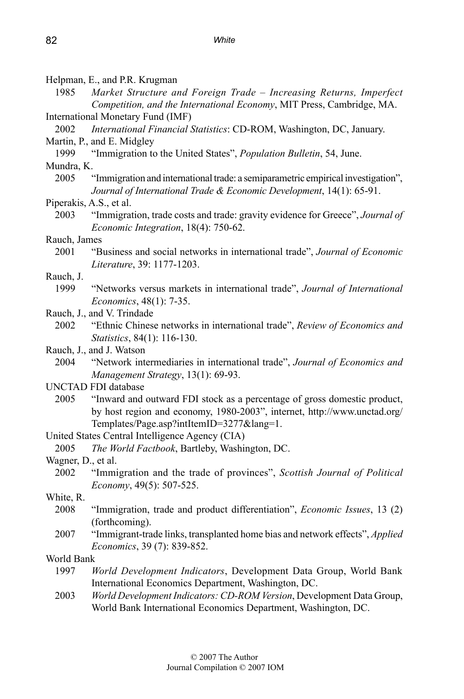Helpman, E., and P.R. Krugman

1985 *Market Structure and Foreign Trade – Increasing Returns, Imperfect Competition, and the International Economy*, MIT Press, Cambridge, MA. International Monetary Fund (IMF)

- 2002 *International Financial Statistics*: CD-ROM, Washington, DC, January.
- Martin, P., and E. Midgley

1999 "Immigration to the United States", *Population Bulletin*, 54, June. Mundra, K.

2005 "Immigration and international trade: a semiparametric empirical investigation", *Journal of International Trade & Economic Development*, 14(1): 65-91.

#### Piperakis, A.S., et al.

2003 "Immigration, trade costs and trade: gravity evidence for Greece", *Journal of Economic Integration*, 18(4): 750-62.

# Rauch, James<br>2001 "B

2001 "Business and social networks in international trade", *Journal of Economic Literature*, 39: 1177-1203.

Rauch, J.

1999 "Networks versus markets in international trade", *Journal of International Economics*, 48(1): 7-35.

#### Rauch, J., and V. Trindade

- 2002 "Ethnic Chinese networks in international trade", *Review of Economics and Statistics*, 84(1): 116-130.
- Rauch, J., and J. Watson
	- 2004 "Network intermediaries in international trade", *Journal of Economics and Management Strategy*, 13(1): 69-93.
- UNCTAD FDI database
	- 2005 "Inward and outward FDI stock as a percentage of gross domestic product, by host region and economy, 1980-2003", internet, http://www.unctad.org/ Templates/Page.asp?intItemID=3277&lang=1.
- United States Central Intelligence Agency (CIA)
	- 2005 *The World Factbook*, Bartleby, Washington, DC.

Wagner, D., et al.

- 2002 "Immigration and the trade of provinces", *Scottish Journal of Political Economy*, 49(5): 507-525.
- White, R.
	- 2008 "Immigration, trade and product differentiation", *Economic Issues*, 13 (2) (forthcoming).
	- 2007 "Immigrant-trade links, transplanted home bias and network effects", *Applied Economics*, 39 (7): 839-852.

#### World Bank

- 1997 *World Development Indicators*, Development Data Group, World Bank International Economics Department, Washington, DC.
- 2003 *World Development Indicators: CD-ROM Version*, Development Data Group, World Bank International Economics Department, Washington, DC.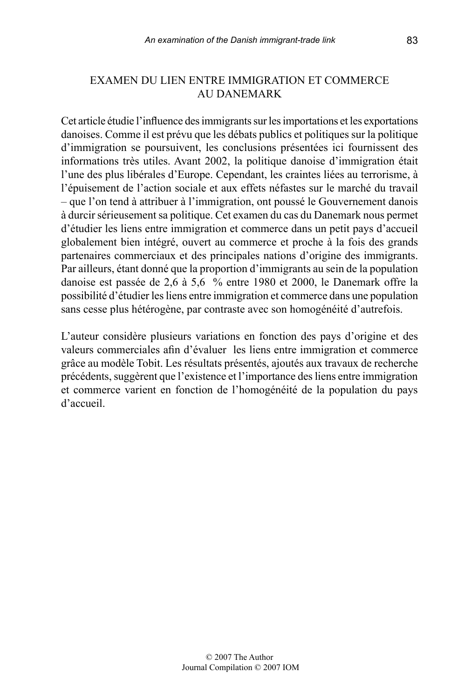#### EXAMEN DU LIEN ENTRE IMMIGRATION ET COMMERCE AU DANEMARK

Cet article étudie l'influence des immigrants sur les importations et les exportations danoises. Comme il est prévu que les débats publics et politiques sur la politique d'immigration se poursuivent, les conclusions présentées ici fournissent des informations très utiles. Avant 2002, la politique danoise d'immigration était l'une des plus libérales d'Europe. Cependant, les craintes liées au terrorisme, à l'épuisement de l'action sociale et aux effets néfastes sur le marché du travail – que l'on tend à attribuer à l'immigration, ont poussé le Gouvernement danois à durcir sérieusement sa politique. Cet examen du cas du Danemark nous permet d'étudier les liens entre immigration et commerce dans un petit pays d'accueil globalement bien intégré, ouvert au commerce et proche à la fois des grands partenaires commerciaux et des principales nations d'origine des immigrants. Par ailleurs, étant donné que la proportion d'immigrants au sein de la population danoise est passée de 2,6 à 5,6 % entre 1980 et 2000, le Danemark offre la possibilité d'étudier les liens entre immigration et commerce dans une population sans cesse plus hétérogène, par contraste avec son homogénéité d'autrefois.

L'auteur considère plusieurs variations en fonction des pays d'origine et des valeurs commerciales afin d'évaluer les liens entre immigration et commerce grâce au modèle Tobit. Les résultats présentés, ajoutés aux travaux de recherche précédents, suggèrent que l'existence et l'importance des liens entre immigration et commerce varient en fonction de l'homogénéité de la population du pays d'accueil.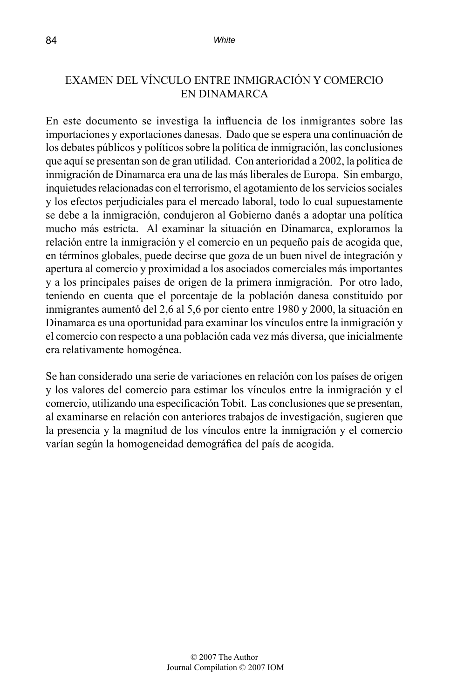#### EXAMEN DEL VÍNCULO ENTRE INMIGRACIÓN Y COMERCIO EN DINAMARCA

En este documento se investiga la influencia de los inmigrantes sobre las importaciones y exportaciones danesas. Dado que se espera una continuación de los debates públicos y políticos sobre la política de inmigración, las conclusiones que aquí se presentan son de gran utilidad. Con anterioridad a 2002, la política de inmigración de Dinamarca era una de las más liberales de Europa. Sin embargo, inquietudes relacionadas con el terrorismo, el agotamiento de los servicios sociales y los efectos perjudiciales para el mercado laboral, todo lo cual supuestamente se debe a la inmigración, condujeron al Gobierno danés a adoptar una política mucho más estricta. Al examinar la situación en Dinamarca, exploramos la relación entre la inmigración y el comercio en un pequeño país de acogida que, en términos globales, puede decirse que goza de un buen nivel de integración y apertura al comercio y proximidad a los asociados comerciales más importantes y a los principales países de origen de la primera inmigración. Por otro lado, teniendo en cuenta que el porcentaje de la población danesa constituido por inmigrantes aumentó del 2,6 al 5,6 por ciento entre 1980 y 2000, la situación en Dinamarca es una oportunidad para examinar los vínculos entre la inmigración y el comercio con respecto a una población cada vez más diversa, que inicialmente era relativamente homogénea.

Se han considerado una serie de variaciones en relación con los países de origen y los valores del comercio para estimar los vínculos entre la inmigración y el comercio, utilizando una especificación Tobit. Las conclusiones que se presentan, al examinarse en relación con anteriores trabajos de investigación, sugieren que la presencia y la magnitud de los vínculos entre la inmigración y el comercio varían según la homogeneidad demográfica del país de acogida.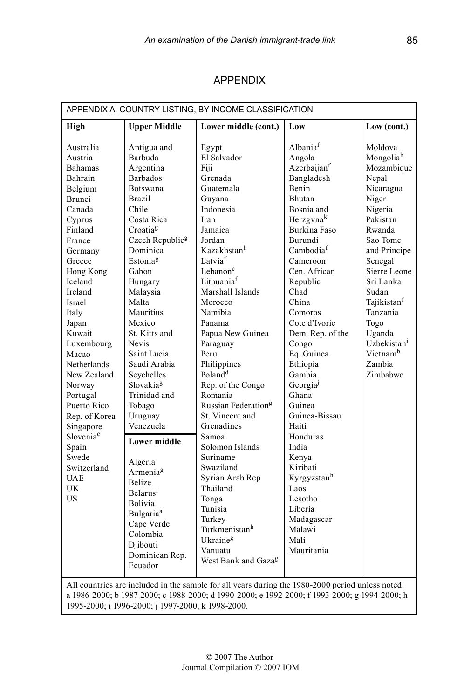| <b>APPENDIX</b> |
|-----------------|
|-----------------|

| APPENDIX A. COUNTRY LISTING, BY INCOME CLASSIFICATION                                                                                                                                                                                                                                                                                                                                                                            |                                                                                                                                                                                                                                                                                                                                                                                                                                                                                                                                                                                                             |                                                                                                                                                                                                                                                                                                                                                                                                                                                                                                                                                                                                   |                                                                                                                                                                                                                                                                                                                                                                                                                                                                                                                             |                                                                                                                                                                                                                                                                                                                   |  |
|----------------------------------------------------------------------------------------------------------------------------------------------------------------------------------------------------------------------------------------------------------------------------------------------------------------------------------------------------------------------------------------------------------------------------------|-------------------------------------------------------------------------------------------------------------------------------------------------------------------------------------------------------------------------------------------------------------------------------------------------------------------------------------------------------------------------------------------------------------------------------------------------------------------------------------------------------------------------------------------------------------------------------------------------------------|---------------------------------------------------------------------------------------------------------------------------------------------------------------------------------------------------------------------------------------------------------------------------------------------------------------------------------------------------------------------------------------------------------------------------------------------------------------------------------------------------------------------------------------------------------------------------------------------------|-----------------------------------------------------------------------------------------------------------------------------------------------------------------------------------------------------------------------------------------------------------------------------------------------------------------------------------------------------------------------------------------------------------------------------------------------------------------------------------------------------------------------------|-------------------------------------------------------------------------------------------------------------------------------------------------------------------------------------------------------------------------------------------------------------------------------------------------------------------|--|
| High                                                                                                                                                                                                                                                                                                                                                                                                                             | <b>Upper Middle</b>                                                                                                                                                                                                                                                                                                                                                                                                                                                                                                                                                                                         | Lower middle (cont.)                                                                                                                                                                                                                                                                                                                                                                                                                                                                                                                                                                              | Low                                                                                                                                                                                                                                                                                                                                                                                                                                                                                                                         | Low (cont.)                                                                                                                                                                                                                                                                                                       |  |
| Australia<br>Austria<br>Bahamas<br>Bahrain<br>Belgium<br>Brunei<br>Canada<br>Cyprus<br>Finland<br>France<br>Germany<br>Greece<br>Hong Kong<br>Iceland<br>Ireland<br>Israel<br>Italy<br>Japan<br>Kuwait<br>Luxembourg<br>Macao<br>Netherlands<br>New Zealand<br>Norway<br>Portugal<br>Puerto Rico<br>Rep. of Korea<br>Singapore<br>Slovenia <sup>e</sup><br>Spain<br>Swede<br>Switzerland<br><b>UAE</b><br><b>UK</b><br><b>US</b> | Antigua and<br>Barbuda<br>Argentina<br><b>Barbados</b><br><b>Botswana</b><br>Brazil<br>Chile<br>Costa Rica<br>Croatia <sup>g</sup><br>Czech Republic <sup>g</sup><br>Dominica<br>Estonia <sup>g</sup><br>Gabon<br>Hungary<br>Malaysia<br>Malta<br>Mauritius<br>Mexico<br>St. Kitts and<br><b>Nevis</b><br>Saint Lucia<br>Saudi Arabia<br>Sevchelles<br>Slovakia <sup>g</sup><br>Trinidad and<br>Tobago<br>Uruguay<br>Venezuela<br><b>Lower middle</b><br>Algeria<br>Armenia <sup>g</sup><br><b>Belize</b><br>Belarus <sup>1</sup><br>Bolivia<br>Bulgaria <sup>a</sup><br>Cape Verde<br>Colombia<br>Diibouti | Egypt<br>El Salvador<br>Fiji<br>Grenada<br>Guatemala<br>Guyana<br>Indonesia<br>Iran<br>Jamaica<br>Jordan<br>Kazakhstan <sup>h</sup><br>Latvia <sup>f</sup><br>Lebanon <sup>c</sup><br>Lithuaniaf<br>Marshall Islands<br>Morocco<br>Namibia<br>Panama<br>Papua New Guinea<br>Paraguay<br>Peru<br>Philippines<br>Poland <sup>d</sup><br>Rep. of the Congo<br>Romania<br>Russian Federation <sup>g</sup><br>St. Vincent and<br>Grenadines<br>Samoa<br>Solomon Islands<br>Suriname<br>Swaziland<br>Syrian Arab Rep<br>Thailand<br>Tonga<br>Tunisia<br>Turkey<br>Turkmenistanh<br>Ukraine <sup>g</sup> | Albania <sup>f</sup><br>Angola<br>Azerbaijan <sup>f</sup><br>Bangladesh<br>Benin<br>Bhutan<br>Bosnia and<br>Herzgynak<br>Burkina Faso<br>Burundi<br>Cambodiaf<br>Cameroon<br>Cen. African<br>Republic<br>Chad<br>China<br>Comoros<br>Cote d'Ivorie<br>Dem. Rep. of the<br>Congo<br>Eq. Guinea<br>Ethiopia<br>Gambia<br>Georgia <sup>j</sup><br>Ghana<br>Guinea<br>Guinea-Bissau<br>Haiti<br>Honduras<br>India<br>Kenya<br>Kiribati<br>Kyrgyzstan <sup>h</sup><br>Laos<br>Lesotho<br>Liberia<br>Madagascar<br>Malawi<br>Mali | Moldova<br>Mongoliah<br>Mozambique<br>Nepal<br>Nicaragua<br>Niger<br>Nigeria<br>Pakistan<br>Rwanda<br>Sao Tome<br>and Principe<br>Senegal<br>Sierre Leone<br>Sri Lanka<br>Sudan<br>Tajikistan <sup>f</sup><br>Tanzania<br>Togo<br>Uganda<br>Uzbekistan <sup>i</sup><br>Vietnam <sup>b</sup><br>Zambia<br>Zimbabwe |  |
|                                                                                                                                                                                                                                                                                                                                                                                                                                  | Dominican Rep.<br>Ecuador                                                                                                                                                                                                                                                                                                                                                                                                                                                                                                                                                                                   | Vanuatu<br>West Bank and Gaza <sup>g</sup>                                                                                                                                                                                                                                                                                                                                                                                                                                                                                                                                                        | Mauritania                                                                                                                                                                                                                                                                                                                                                                                                                                                                                                                  |                                                                                                                                                                                                                                                                                                                   |  |
| All countries are included in the sample for all years during the 1980-2000 period unless noted:<br>a 1986-2000; b 1987-2000; c 1988-2000; d 1990-2000; e 1992-2000; f 1993-2000; g 1994-2000; h<br>1995-2000; i 1996-2000; j 1997-2000; k 1998-2000.                                                                                                                                                                            |                                                                                                                                                                                                                                                                                                                                                                                                                                                                                                                                                                                                             |                                                                                                                                                                                                                                                                                                                                                                                                                                                                                                                                                                                                   |                                                                                                                                                                                                                                                                                                                                                                                                                                                                                                                             |                                                                                                                                                                                                                                                                                                                   |  |